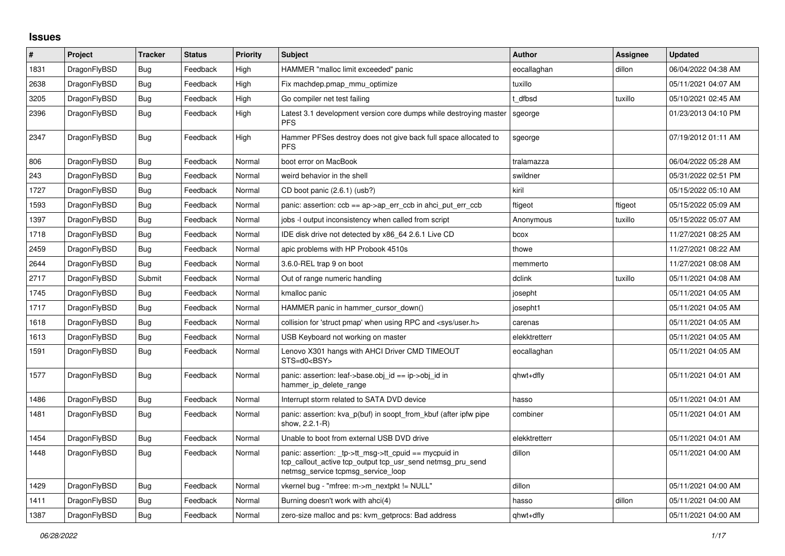## **Issues**

| #    | Project      | <b>Tracker</b> | <b>Status</b> | <b>Priority</b> | <b>Subject</b>                                                                                                                                            | <b>Author</b> | Assignee | <b>Updated</b>      |
|------|--------------|----------------|---------------|-----------------|-----------------------------------------------------------------------------------------------------------------------------------------------------------|---------------|----------|---------------------|
| 1831 | DragonFlyBSD | <b>Bug</b>     | Feedback      | High            | HAMMER "malloc limit exceeded" panic                                                                                                                      | eocallaghan   | dillon   | 06/04/2022 04:38 AM |
| 2638 | DragonFlyBSD | <b>Bug</b>     | Feedback      | High            | Fix machdep.pmap mmu optimize                                                                                                                             | tuxillo       |          | 05/11/2021 04:07 AM |
| 3205 | DragonFlyBSD | Bug            | Feedback      | High            | Go compiler net test failing                                                                                                                              | t dfbsd       | tuxillo  | 05/10/2021 02:45 AM |
| 2396 | DragonFlyBSD | Bug            | Feedback      | High            | Latest 3.1 development version core dumps while destroying master<br><b>PFS</b>                                                                           | sgeorge       |          | 01/23/2013 04:10 PM |
| 2347 | DragonFlyBSD | Bug            | Feedback      | High            | Hammer PFSes destroy does not give back full space allocated to<br><b>PFS</b>                                                                             | sgeorge       |          | 07/19/2012 01:11 AM |
| 806  | DragonFlyBSD | <b>Bug</b>     | Feedback      | Normal          | boot error on MacBook                                                                                                                                     | tralamazza    |          | 06/04/2022 05:28 AM |
| 243  | DragonFlyBSD | Bug            | Feedback      | Normal          | weird behavior in the shell                                                                                                                               | swildner      |          | 05/31/2022 02:51 PM |
| 1727 | DragonFlyBSD | Bug            | Feedback      | Normal          | CD boot panic (2.6.1) (usb?)                                                                                                                              | kiril         |          | 05/15/2022 05:10 AM |
| 1593 | DragonFlyBSD | Bug            | Feedback      | Normal          | panic: assertion: ccb == ap->ap_err_ccb in ahci_put_err_ccb                                                                                               | ftigeot       | ftigeot  | 05/15/2022 05:09 AM |
| 1397 | DragonFlyBSD | Bug            | Feedback      | Normal          | jobs -I output inconsistency when called from script                                                                                                      | Anonymous     | tuxillo  | 05/15/2022 05:07 AM |
| 1718 | DragonFlyBSD | <b>Bug</b>     | Feedback      | Normal          | IDE disk drive not detected by x86 64 2.6.1 Live CD                                                                                                       | bcox          |          | 11/27/2021 08:25 AM |
| 2459 | DragonFlyBSD | Bug            | Feedback      | Normal          | apic problems with HP Probook 4510s                                                                                                                       | thowe         |          | 11/27/2021 08:22 AM |
| 2644 | DragonFlyBSD | Bug            | Feedback      | Normal          | 3.6.0-REL trap 9 on boot                                                                                                                                  | memmerto      |          | 11/27/2021 08:08 AM |
| 2717 | DragonFlyBSD | Submit         | Feedback      | Normal          | Out of range numeric handling                                                                                                                             | dclink        | tuxillo  | 05/11/2021 04:08 AM |
| 1745 | DragonFlyBSD | Bug            | Feedback      | Normal          | kmalloc panic                                                                                                                                             | josepht       |          | 05/11/2021 04:05 AM |
| 1717 | DragonFlyBSD | Bug            | Feedback      | Normal          | HAMMER panic in hammer cursor down()                                                                                                                      | josepht1      |          | 05/11/2021 04:05 AM |
| 1618 | DragonFlyBSD | Bug            | Feedback      | Normal          | collision for 'struct pmap' when using RPC and <sys user.h=""></sys>                                                                                      | carenas       |          | 05/11/2021 04:05 AM |
| 1613 | DragonFlyBSD | Bug            | Feedback      | Normal          | USB Keyboard not working on master                                                                                                                        | elekktretterr |          | 05/11/2021 04:05 AM |
| 1591 | DragonFlyBSD | Bug            | Feedback      | Normal          | Lenovo X301 hangs with AHCI Driver CMD TIMEOUT<br>STS=d0 <bsy></bsy>                                                                                      | eocallaghan   |          | 05/11/2021 04:05 AM |
| 1577 | DragonFlyBSD | Bug            | Feedback      | Normal          | panic: assertion: leaf->base.obj id == ip->obj id in<br>hammer ip delete range                                                                            | qhwt+dfly     |          | 05/11/2021 04:01 AM |
| 1486 | DragonFlyBSD | Bug            | Feedback      | Normal          | Interrupt storm related to SATA DVD device                                                                                                                | hasso         |          | 05/11/2021 04:01 AM |
| 1481 | DragonFlyBSD | Bug            | Feedback      | Normal          | panic: assertion: kva_p(buf) in soopt_from_kbuf (after ipfw pipe<br>show, 2.2.1-R)                                                                        | combiner      |          | 05/11/2021 04:01 AM |
| 1454 | DragonFlyBSD | Bug            | Feedback      | Normal          | Unable to boot from external USB DVD drive                                                                                                                | elekktretterr |          | 05/11/2021 04:01 AM |
| 1448 | DragonFlyBSD | Bug            | Feedback      | Normal          | panic: assertion: _tp->tt_msg->tt_cpuid == mycpuid in<br>tcp callout active tcp output tcp usr send netmsg pru send<br>netmsg service tcpmsg service loop | dillon        |          | 05/11/2021 04:00 AM |
| 1429 | DragonFlyBSD | Bug            | Feedback      | Normal          | vkernel bug - "mfree: m->m_nextpkt != NULL"                                                                                                               | dillon        |          | 05/11/2021 04:00 AM |
| 1411 | DragonFlyBSD | <b>Bug</b>     | Feedback      | Normal          | Burning doesn't work with ahci(4)                                                                                                                         | hasso         | dillon   | 05/11/2021 04:00 AM |
| 1387 | DragonFlyBSD | Bug            | Feedback      | Normal          | zero-size malloc and ps: kvm getprocs: Bad address                                                                                                        | qhwt+dfly     |          | 05/11/2021 04:00 AM |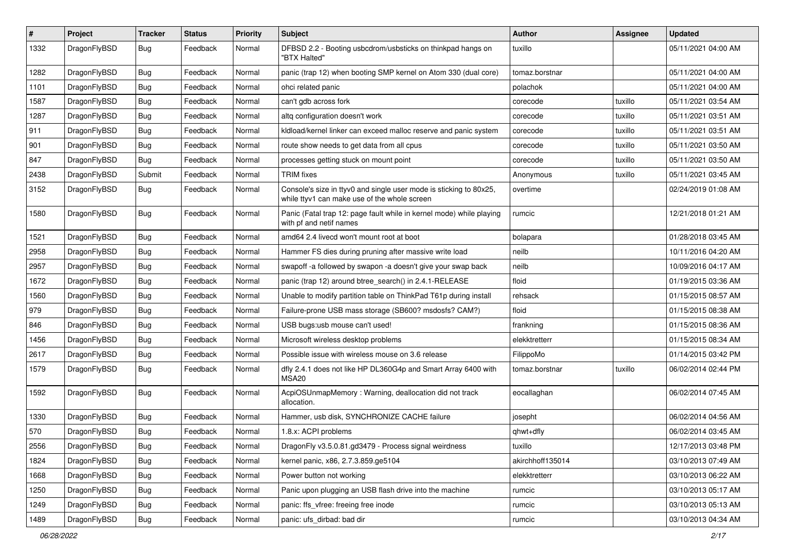| #    | Project      | <b>Tracker</b> | <b>Status</b> | <b>Priority</b> | <b>Subject</b>                                                                                                     | <b>Author</b>    | Assignee | <b>Updated</b>      |
|------|--------------|----------------|---------------|-----------------|--------------------------------------------------------------------------------------------------------------------|------------------|----------|---------------------|
| 1332 | DragonFlyBSD | Bug            | Feedback      | Normal          | DFBSD 2.2 - Booting usbcdrom/usbsticks on thinkpad hangs on<br>"BTX Halted"                                        | tuxillo          |          | 05/11/2021 04:00 AM |
| 1282 | DragonFlyBSD | <b>Bug</b>     | Feedback      | Normal          | panic (trap 12) when booting SMP kernel on Atom 330 (dual core)                                                    | tomaz.borstnar   |          | 05/11/2021 04:00 AM |
| 1101 | DragonFlyBSD | <b>Bug</b>     | Feedback      | Normal          | ohci related panic                                                                                                 | polachok         |          | 05/11/2021 04:00 AM |
| 1587 | DragonFlyBSD | Bug            | Feedback      | Normal          | can't gdb across fork                                                                                              | corecode         | tuxillo  | 05/11/2021 03:54 AM |
| 1287 | DragonFlyBSD | <b>Bug</b>     | Feedback      | Normal          | altg configuration doesn't work                                                                                    | corecode         | tuxillo  | 05/11/2021 03:51 AM |
| 911  | DragonFlyBSD | <b>Bug</b>     | Feedback      | Normal          | kldload/kernel linker can exceed malloc reserve and panic system                                                   | corecode         | tuxillo  | 05/11/2021 03:51 AM |
| 901  | DragonFlyBSD | <b>Bug</b>     | Feedback      | Normal          | route show needs to get data from all cpus                                                                         | corecode         | tuxillo  | 05/11/2021 03:50 AM |
| 847  | DragonFlyBSD | <b>Bug</b>     | Feedback      | Normal          | processes getting stuck on mount point                                                                             | corecode         | tuxillo  | 05/11/2021 03:50 AM |
| 2438 | DragonFlyBSD | Submit         | Feedback      | Normal          | <b>TRIM</b> fixes                                                                                                  | Anonymous        | tuxillo  | 05/11/2021 03:45 AM |
| 3152 | DragonFlyBSD | Bug            | Feedback      | Normal          | Console's size in ttyv0 and single user mode is sticking to 80x25,<br>while ttyv1 can make use of the whole screen | overtime         |          | 02/24/2019 01:08 AM |
| 1580 | DragonFlyBSD | Bug            | Feedback      | Normal          | Panic (Fatal trap 12: page fault while in kernel mode) while playing<br>with pf and netif names                    | rumcic           |          | 12/21/2018 01:21 AM |
| 1521 | DragonFlyBSD | <b>Bug</b>     | Feedback      | Normal          | amd64 2.4 livecd won't mount root at boot                                                                          | bolapara         |          | 01/28/2018 03:45 AM |
| 2958 | DragonFlyBSD | <b>Bug</b>     | Feedback      | Normal          | Hammer FS dies during pruning after massive write load                                                             | neilb            |          | 10/11/2016 04:20 AM |
| 2957 | DragonFlyBSD | <b>Bug</b>     | Feedback      | Normal          | swapoff -a followed by swapon -a doesn't give your swap back                                                       | neilb            |          | 10/09/2016 04:17 AM |
| 1672 | DragonFlyBSD | <b>Bug</b>     | Feedback      | Normal          | panic (trap 12) around btree_search() in 2.4.1-RELEASE                                                             | floid            |          | 01/19/2015 03:36 AM |
| 1560 | DragonFlyBSD | <b>Bug</b>     | Feedback      | Normal          | Unable to modify partition table on ThinkPad T61p during install                                                   | rehsack          |          | 01/15/2015 08:57 AM |
| 979  | DragonFlyBSD | <b>Bug</b>     | Feedback      | Normal          | Failure-prone USB mass storage (SB600? msdosfs? CAM?)                                                              | floid            |          | 01/15/2015 08:38 AM |
| 846  | DragonFlyBSD | <b>Bug</b>     | Feedback      | Normal          | USB bugs:usb mouse can't used!                                                                                     | frankning        |          | 01/15/2015 08:36 AM |
| 1456 | DragonFlyBSD | <b>Bug</b>     | Feedback      | Normal          | Microsoft wireless desktop problems                                                                                | elekktretterr    |          | 01/15/2015 08:34 AM |
| 2617 | DragonFlyBSD | <b>Bug</b>     | Feedback      | Normal          | Possible issue with wireless mouse on 3.6 release                                                                  | FilippoMo        |          | 01/14/2015 03:42 PM |
| 1579 | DragonFlyBSD | <b>Bug</b>     | Feedback      | Normal          | dfly 2.4.1 does not like HP DL360G4p and Smart Array 6400 with<br>MSA20                                            | tomaz.borstnar   | tuxillo  | 06/02/2014 02:44 PM |
| 1592 | DragonFlyBSD | <b>Bug</b>     | Feedback      | Normal          | AcpiOSUnmapMemory: Warning, deallocation did not track<br>allocation.                                              | eocallaghan      |          | 06/02/2014 07:45 AM |
| 1330 | DragonFlyBSD | <b>Bug</b>     | Feedback      | Normal          | Hammer, usb disk, SYNCHRONIZE CACHE failure                                                                        | josepht          |          | 06/02/2014 04:56 AM |
| 570  | DragonFlyBSD | <b>Bug</b>     | Feedback      | Normal          | 1.8.x: ACPI problems                                                                                               | qhwt+dfly        |          | 06/02/2014 03:45 AM |
| 2556 | DragonFlyBSD | <b>Bug</b>     | Feedback      | Normal          | DragonFly v3.5.0.81.gd3479 - Process signal weirdness                                                              | tuxillo          |          | 12/17/2013 03:48 PM |
| 1824 | DragonFlyBSD | <b>Bug</b>     | Feedback      | Normal          | kernel panic, x86, 2.7.3.859.ge5104                                                                                | akirchhoff135014 |          | 03/10/2013 07:49 AM |
| 1668 | DragonFlyBSD | <b>Bug</b>     | Feedback      | Normal          | Power button not working                                                                                           | elekktretterr    |          | 03/10/2013 06:22 AM |
| 1250 | DragonFlyBSD | <b>Bug</b>     | Feedback      | Normal          | Panic upon plugging an USB flash drive into the machine                                                            | rumcic           |          | 03/10/2013 05:17 AM |
| 1249 | DragonFlyBSD | <b>Bug</b>     | Feedback      | Normal          | panic: ffs vfree: freeing free inode                                                                               | rumcic           |          | 03/10/2013 05:13 AM |
| 1489 | DragonFlyBSD | <b>Bug</b>     | Feedback      | Normal          | panic: ufs_dirbad: bad dir                                                                                         | rumcic           |          | 03/10/2013 04:34 AM |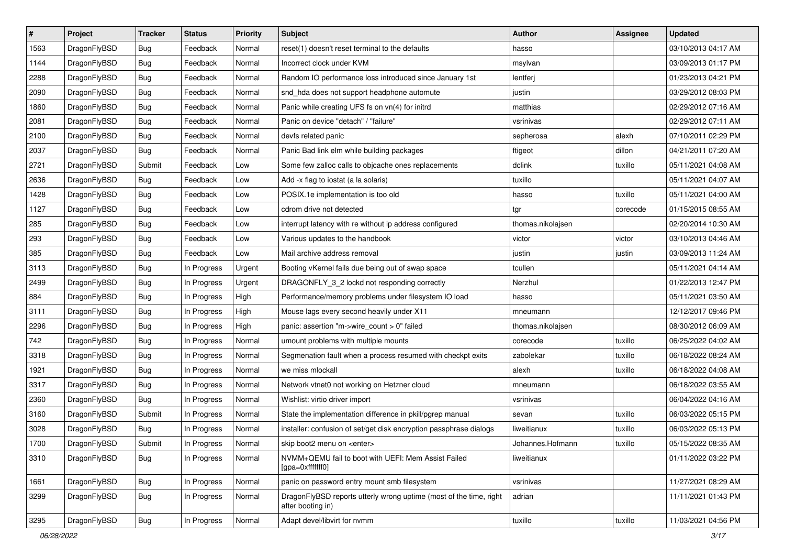| $\sharp$ | Project      | <b>Tracker</b> | <b>Status</b> | <b>Priority</b> | Subject                                                                                 | <b>Author</b>     | <b>Assignee</b> | <b>Updated</b>      |
|----------|--------------|----------------|---------------|-----------------|-----------------------------------------------------------------------------------------|-------------------|-----------------|---------------------|
| 1563     | DragonFlyBSD | Bug            | Feedback      | Normal          | reset(1) doesn't reset terminal to the defaults                                         | hasso             |                 | 03/10/2013 04:17 AM |
| 1144     | DragonFlyBSD | Bug            | Feedback      | Normal          | Incorrect clock under KVM                                                               | msylvan           |                 | 03/09/2013 01:17 PM |
| 2288     | DragonFlyBSD | Bug            | Feedback      | Normal          | Random IO performance loss introduced since January 1st                                 | lentferj          |                 | 01/23/2013 04:21 PM |
| 2090     | DragonFlyBSD | Bug            | Feedback      | Normal          | snd_hda does not support headphone automute                                             | justin            |                 | 03/29/2012 08:03 PM |
| 1860     | DragonFlyBSD | <b>Bug</b>     | Feedback      | Normal          | Panic while creating UFS fs on vn(4) for initrd                                         | matthias          |                 | 02/29/2012 07:16 AM |
| 2081     | DragonFlyBSD | Bug            | Feedback      | Normal          | Panic on device "detach" / "failure"                                                    | vsrinivas         |                 | 02/29/2012 07:11 AM |
| 2100     | DragonFlyBSD | Bug            | Feedback      | Normal          | devfs related panic                                                                     | sepherosa         | alexh           | 07/10/2011 02:29 PM |
| 2037     | DragonFlyBSD | <b>Bug</b>     | Feedback      | Normal          | Panic Bad link elm while building packages                                              | ftigeot           | dillon          | 04/21/2011 07:20 AM |
| 2721     | DragonFlyBSD | Submit         | Feedback      | Low             | Some few zalloc calls to objcache ones replacements                                     | dclink            | tuxillo         | 05/11/2021 04:08 AM |
| 2636     | DragonFlyBSD | <b>Bug</b>     | Feedback      | Low             | Add -x flag to iostat (a la solaris)                                                    | tuxillo           |                 | 05/11/2021 04:07 AM |
| 1428     | DragonFlyBSD | Bug            | Feedback      | Low             | POSIX.1e implementation is too old                                                      | hasso             | tuxillo         | 05/11/2021 04:00 AM |
| 1127     | DragonFlyBSD | Bug            | Feedback      | Low             | cdrom drive not detected                                                                | tgr               | corecode        | 01/15/2015 08:55 AM |
| 285      | DragonFlyBSD | <b>Bug</b>     | Feedback      | Low             | interrupt latency with re without ip address configured                                 | thomas.nikolajsen |                 | 02/20/2014 10:30 AM |
| 293      | DragonFlyBSD | Bug            | Feedback      | Low             | Various updates to the handbook                                                         | victor            | victor          | 03/10/2013 04:46 AM |
| 385      | DragonFlyBSD | <b>Bug</b>     | Feedback      | Low             | Mail archive address removal                                                            | justin            | justin          | 03/09/2013 11:24 AM |
| 3113     | DragonFlyBSD | Bug            | In Progress   | Urgent          | Booting vKernel fails due being out of swap space                                       | tcullen           |                 | 05/11/2021 04:14 AM |
| 2499     | DragonFlyBSD | <b>Bug</b>     | In Progress   | Urgent          | DRAGONFLY_3_2 lockd not responding correctly                                            | Nerzhul           |                 | 01/22/2013 12:47 PM |
| 884      | DragonFlyBSD | <b>Bug</b>     | In Progress   | High            | Performance/memory problems under filesystem IO load                                    | hasso             |                 | 05/11/2021 03:50 AM |
| 3111     | DragonFlyBSD | Bug            | In Progress   | High            | Mouse lags every second heavily under X11                                               | mneumann          |                 | 12/12/2017 09:46 PM |
| 2296     | DragonFlyBSD | <b>Bug</b>     | In Progress   | High            | panic: assertion "m->wire_count > 0" failed                                             | thomas.nikolajsen |                 | 08/30/2012 06:09 AM |
| 742      | DragonFlyBSD | Bug            | In Progress   | Normal          | umount problems with multiple mounts                                                    | corecode          | tuxillo         | 06/25/2022 04:02 AM |
| 3318     | DragonFlyBSD | <b>Bug</b>     | In Progress   | Normal          | Segmenation fault when a process resumed with checkpt exits                             | zabolekar         | tuxillo         | 06/18/2022 08:24 AM |
| 1921     | DragonFlyBSD | <b>Bug</b>     | In Progress   | Normal          | we miss mlockall                                                                        | alexh             | tuxillo         | 06/18/2022 04:08 AM |
| 3317     | DragonFlyBSD | Bug            | In Progress   | Normal          | Network vtnet0 not working on Hetzner cloud                                             | mneumann          |                 | 06/18/2022 03:55 AM |
| 2360     | DragonFlyBSD | <b>Bug</b>     | In Progress   | Normal          | Wishlist: virtio driver import                                                          | vsrinivas         |                 | 06/04/2022 04:16 AM |
| 3160     | DragonFlyBSD | Submit         | In Progress   | Normal          | State the implementation difference in pkill/pgrep manual                               | sevan             | tuxillo         | 06/03/2022 05:15 PM |
| 3028     | DragonFlyBSD | <b>Bug</b>     | In Progress   | Normal          | installer: confusion of set/get disk encryption passphrase dialogs                      | liweitianux       | tuxillo         | 06/03/2022 05:13 PM |
| 1700     | DragonFlyBSD | Submit         | In Progress   | Normal          | skip boot2 menu on <enter></enter>                                                      | Johannes.Hofmann  | tuxillo         | 05/15/2022 08:35 AM |
| 3310     | DragonFlyBSD | Bug            | In Progress   | Normal          | NVMM+QEMU fail to boot with UEFI: Mem Assist Failed<br>[gpa=0xfffffff0]                 | liweitianux       |                 | 01/11/2022 03:22 PM |
| 1661     | DragonFlyBSD | <b>Bug</b>     | In Progress   | Normal          | panic on password entry mount smb filesystem                                            | vsrinivas         |                 | 11/27/2021 08:29 AM |
| 3299     | DragonFlyBSD | <b>Bug</b>     | In Progress   | Normal          | DragonFlyBSD reports utterly wrong uptime (most of the time, right<br>after booting in) | adrian            |                 | 11/11/2021 01:43 PM |
| 3295     | DragonFlyBSD | <b>Bug</b>     | In Progress   | Normal          | Adapt devel/libvirt for nvmm                                                            | tuxillo           | tuxillo         | 11/03/2021 04:56 PM |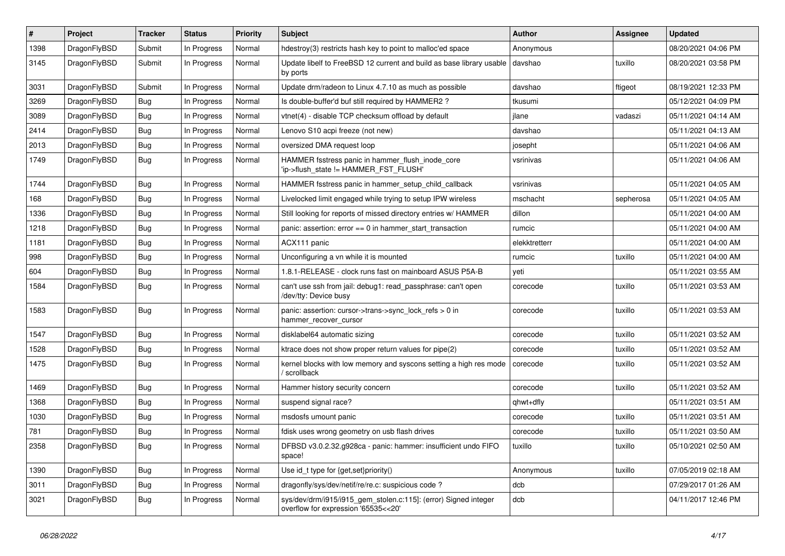| #    | Project      | <b>Tracker</b> | <b>Status</b> | <b>Priority</b> | Subject                                                                                                | Author        | Assignee  | <b>Updated</b>      |
|------|--------------|----------------|---------------|-----------------|--------------------------------------------------------------------------------------------------------|---------------|-----------|---------------------|
| 1398 | DragonFlyBSD | Submit         | In Progress   | Normal          | hdestroy(3) restricts hash key to point to malloc'ed space                                             | Anonymous     |           | 08/20/2021 04:06 PM |
| 3145 | DragonFlyBSD | Submit         | In Progress   | Normal          | Update libelf to FreeBSD 12 current and build as base library usable<br>by ports                       | davshao       | tuxillo   | 08/20/2021 03:58 PM |
| 3031 | DragonFlyBSD | Submit         | In Progress   | Normal          | Update drm/radeon to Linux 4.7.10 as much as possible                                                  | davshao       | ftigeot   | 08/19/2021 12:33 PM |
| 3269 | DragonFlyBSD | Bug            | In Progress   | Normal          | Is double-buffer'd buf still required by HAMMER2 ?                                                     | tkusumi       |           | 05/12/2021 04:09 PM |
| 3089 | DragonFlyBSD | <b>Bug</b>     | In Progress   | Normal          | vtnet(4) - disable TCP checksum offload by default                                                     | jlane         | vadaszi   | 05/11/2021 04:14 AM |
| 2414 | DragonFlyBSD | <b>Bug</b>     | In Progress   | Normal          | Lenovo S10 acpi freeze (not new)                                                                       | davshao       |           | 05/11/2021 04:13 AM |
| 2013 | DragonFlyBSD | <b>Bug</b>     | In Progress   | Normal          | oversized DMA request loop                                                                             | josepht       |           | 05/11/2021 04:06 AM |
| 1749 | DragonFlyBSD | <b>Bug</b>     | In Progress   | Normal          | HAMMER fsstress panic in hammer_flush_inode_core<br>'ip->flush_state != HAMMER_FST_FLUSH'              | vsrinivas     |           | 05/11/2021 04:06 AM |
| 1744 | DragonFlyBSD | <b>Bug</b>     | In Progress   | Normal          | HAMMER fsstress panic in hammer_setup_child_callback                                                   | vsrinivas     |           | 05/11/2021 04:05 AM |
| 168  | DragonFlyBSD | <b>Bug</b>     | In Progress   | Normal          | Livelocked limit engaged while trying to setup IPW wireless                                            | mschacht      | sepherosa | 05/11/2021 04:05 AM |
| 1336 | DragonFlyBSD | <b>Bug</b>     | In Progress   | Normal          | Still looking for reports of missed directory entries w/ HAMMER                                        | dillon        |           | 05/11/2021 04:00 AM |
| 1218 | DragonFlyBSD | <b>Bug</b>     | In Progress   | Normal          | panic: assertion: $error == 0$ in hammer start transaction                                             | rumcic        |           | 05/11/2021 04:00 AM |
| 1181 | DragonFlyBSD | <b>Bug</b>     | In Progress   | Normal          | ACX111 panic                                                                                           | elekktretterr |           | 05/11/2021 04:00 AM |
| 998  | DragonFlyBSD | <b>Bug</b>     | In Progress   | Normal          | Unconfiguring a vn while it is mounted                                                                 | rumcic        | tuxillo   | 05/11/2021 04:00 AM |
| 604  | DragonFlyBSD | <b>Bug</b>     | In Progress   | Normal          | 1.8.1-RELEASE - clock runs fast on mainboard ASUS P5A-B                                                | yeti          |           | 05/11/2021 03:55 AM |
| 1584 | DragonFlyBSD | Bug            | In Progress   | Normal          | can't use ssh from jail: debug1: read_passphrase: can't open<br>/dev/tty: Device busy                  | corecode      | tuxillo   | 05/11/2021 03:53 AM |
| 1583 | DragonFlyBSD | Bug            | In Progress   | Normal          | panic: assertion: cursor->trans->sync_lock_refs > 0 in<br>hammer_recover_cursor                        | corecode      | tuxillo   | 05/11/2021 03:53 AM |
| 1547 | DragonFlyBSD | Bug            | In Progress   | Normal          | disklabel64 automatic sizing                                                                           | corecode      | tuxillo   | 05/11/2021 03:52 AM |
| 1528 | DragonFlyBSD | <b>Bug</b>     | In Progress   | Normal          | ktrace does not show proper return values for pipe(2)                                                  | corecode      | tuxillo   | 05/11/2021 03:52 AM |
| 1475 | DragonFlyBSD | <b>Bug</b>     | In Progress   | Normal          | kernel blocks with low memory and syscons setting a high res mode<br>/ scrollback                      | corecode      | tuxillo   | 05/11/2021 03:52 AM |
| 1469 | DragonFlyBSD | Bug            | In Progress   | Normal          | Hammer history security concern                                                                        | corecode      | tuxillo   | 05/11/2021 03:52 AM |
| 1368 | DragonFlyBSD | Bug            | In Progress   | Normal          | suspend signal race?                                                                                   | qhwt+dfly     |           | 05/11/2021 03:51 AM |
| 1030 | DragonFlyBSD | <b>Bug</b>     | In Progress   | Normal          | msdosfs umount panic                                                                                   | corecode      | tuxillo   | 05/11/2021 03:51 AM |
| 781  | DragonFlyBSD | <b>Bug</b>     | In Progress   | Normal          | fdisk uses wrong geometry on usb flash drives                                                          | corecode      | tuxillo   | 05/11/2021 03:50 AM |
| 2358 | DragonFlyBSD | <b>Bug</b>     | In Progress   | Normal          | DFBSD v3.0.2.32.g928ca - panic: hammer: insufficient undo FIFO<br>space!                               | tuxillo       | tuxillo   | 05/10/2021 02:50 AM |
| 1390 | DragonFlyBSD | <b>Bug</b>     | In Progress   | Normal          | Use id_t type for {get,set}priority()                                                                  | Anonymous     | tuxillo   | 07/05/2019 02:18 AM |
| 3011 | DragonFlyBSD | <b>Bug</b>     | In Progress   | Normal          | dragonfly/sys/dev/netif/re/re.c: suspicious code ?                                                     | dcb           |           | 07/29/2017 01:26 AM |
| 3021 | DragonFlyBSD | <b>Bug</b>     | In Progress   | Normal          | sys/dev/drm/i915/i915_gem_stolen.c:115]: (error) Signed integer<br>overflow for expression '65535<<20' | dcb           |           | 04/11/2017 12:46 PM |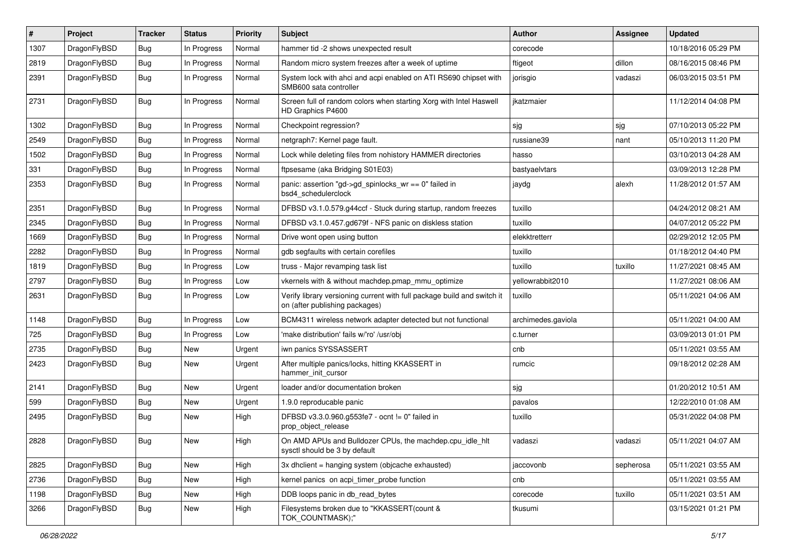| #    | Project      | <b>Tracker</b> | <b>Status</b> | <b>Priority</b> | Subject                                                                                                   | Author             | <b>Assignee</b> | <b>Updated</b>      |
|------|--------------|----------------|---------------|-----------------|-----------------------------------------------------------------------------------------------------------|--------------------|-----------------|---------------------|
| 1307 | DragonFlyBSD | Bug            | In Progress   | Normal          | hammer tid -2 shows unexpected result                                                                     | corecode           |                 | 10/18/2016 05:29 PM |
| 2819 | DragonFlyBSD | <b>Bug</b>     | In Progress   | Normal          | Random micro system freezes after a week of uptime                                                        | ftigeot            | dillon          | 08/16/2015 08:46 PM |
| 2391 | DragonFlyBSD | Bug            | In Progress   | Normal          | System lock with ahci and acpi enabled on ATI RS690 chipset with<br>SMB600 sata controller                | jorisgio           | vadaszi         | 06/03/2015 03:51 PM |
| 2731 | DragonFlyBSD | <b>Bug</b>     | In Progress   | Normal          | Screen full of random colors when starting Xorg with Intel Haswell<br>HD Graphics P4600                   | ikatzmaier         |                 | 11/12/2014 04:08 PM |
| 1302 | DragonFlyBSD | Bug            | In Progress   | Normal          | Checkpoint regression?                                                                                    | sjg                | sjg             | 07/10/2013 05:22 PM |
| 2549 | DragonFlyBSD | Bug            | In Progress   | Normal          | netgraph7: Kernel page fault.                                                                             | russiane39         | nant            | 05/10/2013 11:20 PM |
| 1502 | DragonFlyBSD | Bug            | In Progress   | Normal          | Lock while deleting files from nohistory HAMMER directories                                               | hasso              |                 | 03/10/2013 04:28 AM |
| 331  | DragonFlyBSD | Bug            | In Progress   | Normal          | ftpsesame (aka Bridging S01E03)                                                                           | bastyaelvtars      |                 | 03/09/2013 12:28 PM |
| 2353 | DragonFlyBSD | Bug            | In Progress   | Normal          | panic: assertion "gd->gd_spinlocks_wr == 0" failed in<br>bsd4_schedulerclock                              | jaydg              | alexh           | 11/28/2012 01:57 AM |
| 2351 | DragonFlyBSD | Bug            | In Progress   | Normal          | DFBSD v3.1.0.579.g44ccf - Stuck during startup, random freezes                                            | tuxillo            |                 | 04/24/2012 08:21 AM |
| 2345 | DragonFlyBSD | Bug            | In Progress   | Normal          | DFBSD v3.1.0.457.gd679f - NFS panic on diskless station                                                   | tuxillo            |                 | 04/07/2012 05:22 PM |
| 1669 | DragonFlyBSD | Bug            | In Progress   | Normal          | Drive wont open using button                                                                              | elekktretterr      |                 | 02/29/2012 12:05 PM |
| 2282 | DragonFlyBSD | Bug            | In Progress   | Normal          | gdb segfaults with certain corefiles                                                                      | tuxillo            |                 | 01/18/2012 04:40 PM |
| 1819 | DragonFlyBSD | Bug            | In Progress   | Low             | truss - Major revamping task list                                                                         | tuxillo            | tuxillo         | 11/27/2021 08:45 AM |
| 2797 | DragonFlyBSD | Bug            | In Progress   | Low             | vkernels with & without machdep.pmap_mmu_optimize                                                         | yellowrabbit2010   |                 | 11/27/2021 08:06 AM |
| 2631 | DragonFlyBSD | Bug            | In Progress   | Low             | Verify library versioning current with full package build and switch it<br>on (after publishing packages) | tuxillo            |                 | 05/11/2021 04:06 AM |
| 1148 | DragonFlyBSD | Bug            | In Progress   | Low             | BCM4311 wireless network adapter detected but not functional                                              | archimedes.gaviola |                 | 05/11/2021 04:00 AM |
| 725  | DragonFlyBSD | Bug            | In Progress   | Low             | 'make distribution' fails w/'ro' /usr/obj                                                                 | c.turner           |                 | 03/09/2013 01:01 PM |
| 2735 | DragonFlyBSD | Bug            | New           | Urgent          | iwn panics SYSSASSERT                                                                                     | cnb                |                 | 05/11/2021 03:55 AM |
| 2423 | DragonFlyBSD | Bug            | <b>New</b>    | Urgent          | After multiple panics/locks, hitting KKASSERT in<br>hammer init cursor                                    | rumcic             |                 | 09/18/2012 02:28 AM |
| 2141 | DragonFlyBSD | Bug            | <b>New</b>    | Urgent          | loader and/or documentation broken                                                                        | sjg                |                 | 01/20/2012 10:51 AM |
| 599  | DragonFlyBSD | Bug            | New           | Urgent          | 1.9.0 reproducable panic                                                                                  | pavalos            |                 | 12/22/2010 01:08 AM |
| 2495 | DragonFlyBSD | Bug            | New           | High            | DFBSD v3.3.0.960.g553fe7 - ocnt != 0" failed in<br>prop_object_release                                    | tuxillo            |                 | 05/31/2022 04:08 PM |
| 2828 | DragonFlyBSD | Bug            | <b>New</b>    | High            | On AMD APUs and Bulldozer CPUs, the machdep.cpu idle hit<br>sysctl should be 3 by default                 | vadaszi            | vadaszi         | 05/11/2021 04:07 AM |
| 2825 | DragonFlyBSD | <b>Bug</b>     | <b>New</b>    | High            | 3x dhclient = hanging system (objcache exhausted)                                                         | jaccovonb          | sepherosa       | 05/11/2021 03:55 AM |
| 2736 | DragonFlyBSD | Bug            | <b>New</b>    | High            | kernel panics on acpi timer probe function                                                                | cnb                |                 | 05/11/2021 03:55 AM |
| 1198 | DragonFlyBSD | <b>Bug</b>     | <b>New</b>    | High            | DDB loops panic in db_read_bytes                                                                          | corecode           | tuxillo         | 05/11/2021 03:51 AM |
| 3266 | DragonFlyBSD | <b>Bug</b>     | New           | High            | Filesystems broken due to "KKASSERT(count &<br>TOK_COUNTMASK);"                                           | tkusumi            |                 | 03/15/2021 01:21 PM |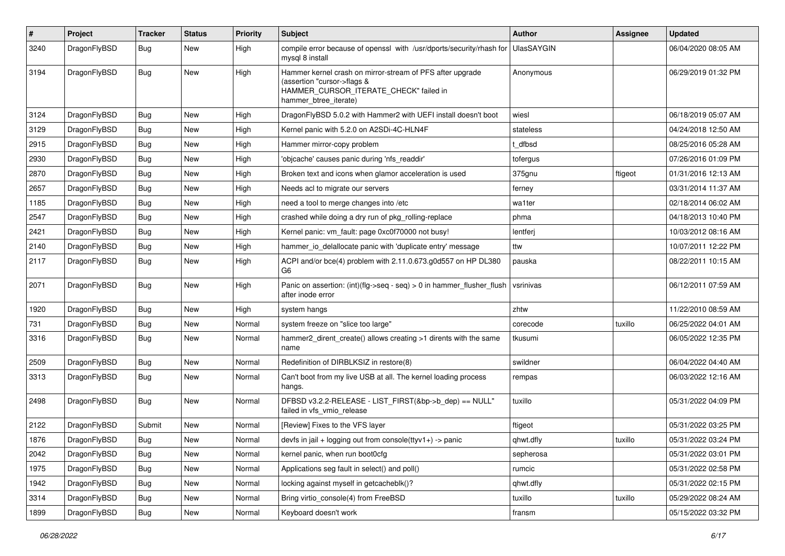| $\vert$ # | Project      | <b>Tracker</b> | <b>Status</b> | <b>Priority</b> | Subject                                                                                                                                                     | <b>Author</b>     | Assignee | <b>Updated</b>      |
|-----------|--------------|----------------|---------------|-----------------|-------------------------------------------------------------------------------------------------------------------------------------------------------------|-------------------|----------|---------------------|
| 3240      | DragonFlyBSD | Bug            | New           | High            | compile error because of openssl with /usr/dports/security/rhash for<br>mysql 8 install                                                                     | <b>UlasSAYGIN</b> |          | 06/04/2020 08:05 AM |
| 3194      | DragonFlyBSD | <b>Bug</b>     | New           | High            | Hammer kernel crash on mirror-stream of PFS after upgrade<br>(assertion "cursor->flags &<br>HAMMER_CURSOR_ITERATE_CHECK" failed in<br>hammer_btree_iterate) | Anonymous         |          | 06/29/2019 01:32 PM |
| 3124      | DragonFlyBSD | Bug            | <b>New</b>    | High            | DragonFlyBSD 5.0.2 with Hammer2 with UEFI install doesn't boot                                                                                              | wiesl             |          | 06/18/2019 05:07 AM |
| 3129      | DragonFlyBSD | <b>Bug</b>     | New           | High            | Kernel panic with 5.2.0 on A2SDi-4C-HLN4F                                                                                                                   | stateless         |          | 04/24/2018 12:50 AM |
| 2915      | DragonFlyBSD | <b>Bug</b>     | <b>New</b>    | High            | Hammer mirror-copy problem                                                                                                                                  | t dfbsd           |          | 08/25/2016 05:28 AM |
| 2930      | DragonFlyBSD | Bug            | <b>New</b>    | High            | 'objcache' causes panic during 'nfs_readdir'                                                                                                                | tofergus          |          | 07/26/2016 01:09 PM |
| 2870      | DragonFlyBSD | <b>Bug</b>     | <b>New</b>    | High            | Broken text and icons when glamor acceleration is used                                                                                                      | 375gnu            | ftigeot  | 01/31/2016 12:13 AM |
| 2657      | DragonFlyBSD | Bug            | New           | High            | Needs acl to migrate our servers                                                                                                                            | ferney            |          | 03/31/2014 11:37 AM |
| 1185      | DragonFlyBSD | <b>Bug</b>     | <b>New</b>    | High            | need a tool to merge changes into /etc                                                                                                                      | wa1ter            |          | 02/18/2014 06:02 AM |
| 2547      | DragonFlyBSD | <b>Bug</b>     | <b>New</b>    | High            | crashed while doing a dry run of pkg rolling-replace                                                                                                        | phma              |          | 04/18/2013 10:40 PM |
| 2421      | DragonFlyBSD | Bug            | <b>New</b>    | High            | Kernel panic: vm fault: page 0xc0f70000 not busy!                                                                                                           | lentferj          |          | 10/03/2012 08:16 AM |
| 2140      | DragonFlyBSD | <b>Bug</b>     | New           | High            | hammer_io_delallocate panic with 'duplicate entry' message                                                                                                  | ttw               |          | 10/07/2011 12:22 PM |
| 2117      | DragonFlyBSD | Bug            | New           | High            | ACPI and/or bce(4) problem with 2.11.0.673.g0d557 on HP DL380<br>G6                                                                                         | pauska            |          | 08/22/2011 10:15 AM |
| 2071      | DragonFlyBSD | Bug            | <b>New</b>    | High            | Panic on assertion: (int)(flg->seq - seq) > 0 in hammer_flusher_flush<br>after inode error                                                                  | vsrinivas         |          | 06/12/2011 07:59 AM |
| 1920      | DragonFlyBSD | <b>Bug</b>     | <b>New</b>    | High            | system hangs                                                                                                                                                | zhtw              |          | 11/22/2010 08:59 AM |
| 731       | DragonFlyBSD | <b>Bug</b>     | New           | Normal          | system freeze on "slice too large"                                                                                                                          | corecode          | tuxillo  | 06/25/2022 04:01 AM |
| 3316      | DragonFlyBSD | Bug            | <b>New</b>    | Normal          | hammer2_dirent_create() allows creating >1 dirents with the same<br>name                                                                                    | tkusumi           |          | 06/05/2022 12:35 PM |
| 2509      | DragonFlyBSD | Bug            | <b>New</b>    | Normal          | Redefinition of DIRBLKSIZ in restore(8)                                                                                                                     | swildner          |          | 06/04/2022 04:40 AM |
| 3313      | DragonFlyBSD | Bug            | New           | Normal          | Can't boot from my live USB at all. The kernel loading process<br>hangs.                                                                                    | rempas            |          | 06/03/2022 12:16 AM |
| 2498      | DragonFlyBSD | Bug            | <b>New</b>    | Normal          | DFBSD v3.2.2-RELEASE - LIST_FIRST(&bp->b_dep) == NULL"<br>failed in vfs vmio release                                                                        | tuxillo           |          | 05/31/2022 04:09 PM |
| 2122      | DragonFlyBSD | Submit         | New           | Normal          | [Review] Fixes to the VFS layer                                                                                                                             | ftigeot           |          | 05/31/2022 03:25 PM |
| 1876      | DragonFlyBSD | Bug            | <b>New</b>    | Normal          | devfs in jail + logging out from console(ttyv1+) -> panic                                                                                                   | qhwt.dfly         | tuxillo  | 05/31/2022 03:24 PM |
| 2042      | DragonFlyBSD | <b>Bug</b>     | New           | Normal          | kernel panic, when run boot0cfg                                                                                                                             | sepherosa         |          | 05/31/2022 03:01 PM |
| 1975      | DragonFlyBSD | <b>Bug</b>     | New           | Normal          | Applications seg fault in select() and poll()                                                                                                               | rumcic            |          | 05/31/2022 02:58 PM |
| 1942      | DragonFlyBSD | <b>Bug</b>     | New           | Normal          | locking against myself in getcacheblk()?                                                                                                                    | qhwt.dfly         |          | 05/31/2022 02:15 PM |
| 3314      | DragonFlyBSD | <b>Bug</b>     | New           | Normal          | Bring virtio console(4) from FreeBSD                                                                                                                        | tuxillo           | tuxillo  | 05/29/2022 08:24 AM |
| 1899      | DragonFlyBSD | Bug            | New           | Normal          | Keyboard doesn't work                                                                                                                                       | fransm            |          | 05/15/2022 03:32 PM |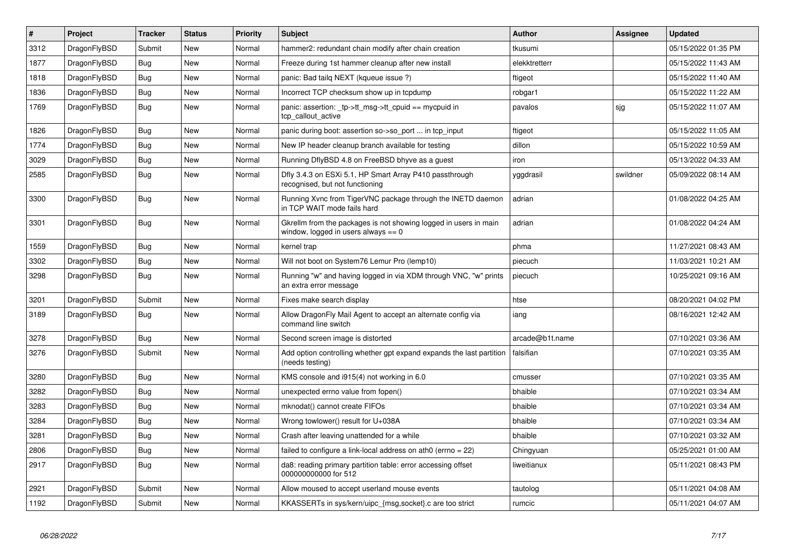| $\pmb{\sharp}$ | <b>Project</b> | <b>Tracker</b> | <b>Status</b> | <b>Priority</b> | <b>Subject</b>                                                                                            | <b>Author</b>   | Assignee | <b>Updated</b>      |
|----------------|----------------|----------------|---------------|-----------------|-----------------------------------------------------------------------------------------------------------|-----------------|----------|---------------------|
| 3312           | DragonFlyBSD   | Submit         | <b>New</b>    | Normal          | hammer2: redundant chain modify after chain creation                                                      | tkusumi         |          | 05/15/2022 01:35 PM |
| 1877           | DragonFlyBSD   | <b>Bug</b>     | <b>New</b>    | Normal          | Freeze during 1st hammer cleanup after new install                                                        | elekktretterr   |          | 05/15/2022 11:43 AM |
| 1818           | DragonFlyBSD   | Bug            | <b>New</b>    | Normal          | panic: Bad tailg NEXT (kqueue issue ?)                                                                    | ftigeot         |          | 05/15/2022 11:40 AM |
| 1836           | DragonFlyBSD   | Bug            | <b>New</b>    | Normal          | Incorrect TCP checksum show up in tcpdump                                                                 | robgar1         |          | 05/15/2022 11:22 AM |
| 1769           | DragonFlyBSD   | <b>Bug</b>     | <b>New</b>    | Normal          | panic: assertion: _tp->tt_msg->tt_cpuid == mycpuid in<br>tcp_callout_active                               | pavalos         | sjg      | 05/15/2022 11:07 AM |
| 1826           | DragonFlyBSD   | <b>Bug</b>     | New           | Normal          | panic during boot: assertion so->so_port  in tcp_input                                                    | ftigeot         |          | 05/15/2022 11:05 AM |
| 1774           | DragonFlyBSD   | <b>Bug</b>     | New           | Normal          | New IP header cleanup branch available for testing                                                        | dillon          |          | 05/15/2022 10:59 AM |
| 3029           | DragonFlyBSD   | Bug            | <b>New</b>    | Normal          | Running DflyBSD 4.8 on FreeBSD bhyve as a guest                                                           | iron            |          | 05/13/2022 04:33 AM |
| 2585           | DragonFlyBSD   | Bug            | New           | Normal          | Dfly 3.4.3 on ESXi 5.1, HP Smart Array P410 passthrough<br>recognised, but not functioning                | yggdrasil       | swildner | 05/09/2022 08:14 AM |
| 3300           | DragonFlyBSD   | <b>Bug</b>     | <b>New</b>    | Normal          | Running Xvnc from TigerVNC package through the INETD daemon<br>in TCP WAIT mode fails hard                | adrian          |          | 01/08/2022 04:25 AM |
| 3301           | DragonFlyBSD   | Bug            | New           | Normal          | Gkrellm from the packages is not showing logged in users in main<br>window, logged in users always $== 0$ | adrian          |          | 01/08/2022 04:24 AM |
| 1559           | DragonFlyBSD   | Bug            | <b>New</b>    | Normal          | kernel trap                                                                                               | phma            |          | 11/27/2021 08:43 AM |
| 3302           | DragonFlyBSD   | <b>Bug</b>     | <b>New</b>    | Normal          | Will not boot on System76 Lemur Pro (lemp10)                                                              | piecuch         |          | 11/03/2021 10:21 AM |
| 3298           | DragonFlyBSD   | <b>Bug</b>     | <b>New</b>    | Normal          | Running "w" and having logged in via XDM through VNC, "w" prints<br>an extra error message                | piecuch         |          | 10/25/2021 09:16 AM |
| 3201           | DragonFlyBSD   | Submit         | <b>New</b>    | Normal          | Fixes make search display                                                                                 | htse            |          | 08/20/2021 04:02 PM |
| 3189           | DragonFlyBSD   | <b>Bug</b>     | <b>New</b>    | Normal          | Allow DragonFly Mail Agent to accept an alternate config via<br>command line switch                       | iang            |          | 08/16/2021 12:42 AM |
| 3278           | DragonFlyBSD   | <b>Bug</b>     | New           | Normal          | Second screen image is distorted                                                                          | arcade@b1t.name |          | 07/10/2021 03:36 AM |
| 3276           | DragonFlyBSD   | Submit         | <b>New</b>    | Normal          | Add option controlling whether gpt expand expands the last partition<br>(needs testing)                   | falsifian       |          | 07/10/2021 03:35 AM |
| 3280           | DragonFlyBSD   | <b>Bug</b>     | New           | Normal          | KMS console and i915(4) not working in 6.0                                                                | cmusser         |          | 07/10/2021 03:35 AM |
| 3282           | DragonFlyBSD   | Bug            | <b>New</b>    | Normal          | unexpected errno value from fopen()                                                                       | bhaible         |          | 07/10/2021 03:34 AM |
| 3283           | DragonFlyBSD   | Bug            | <b>New</b>    | Normal          | mknodat() cannot create FIFOs                                                                             | bhaible         |          | 07/10/2021 03:34 AM |
| 3284           | DragonFlyBSD   | <b>Bug</b>     | New           | Normal          | Wrong towlower() result for U+038A                                                                        | bhaible         |          | 07/10/2021 03:34 AM |
| 3281           | DragonFlyBSD   | Bug            | <b>New</b>    | Normal          | Crash after leaving unattended for a while                                                                | bhaible         |          | 07/10/2021 03:32 AM |
| 2806           | DragonFlyBSD   | Bug            | <b>New</b>    | Normal          | failed to configure a link-local address on ath0 (errno = 22)                                             | Chingyuan       |          | 05/25/2021 01:00 AM |
| 2917           | DragonFlyBSD   | <b>Bug</b>     | New           | Normal          | da8: reading primary partition table: error accessing offset<br>000000000000 for 512                      | liweitianux     |          | 05/11/2021 08:43 PM |
| 2921           | DragonFlyBSD   | Submit         | New           | Normal          | Allow moused to accept userland mouse events                                                              | tautolog        |          | 05/11/2021 04:08 AM |
| 1192           | DragonFlyBSD   | Submit         | <b>New</b>    | Normal          | KKASSERTs in sys/kern/uipc_{msg,socket}.c are too strict                                                  | rumcic          |          | 05/11/2021 04:07 AM |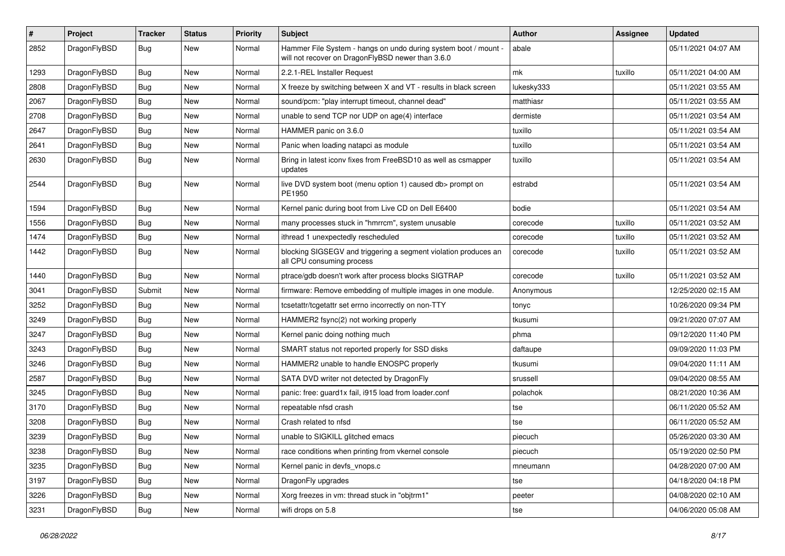| $\sharp$ | Project      | <b>Tracker</b> | <b>Status</b> | <b>Priority</b> | Subject                                                                                                              | <b>Author</b> | Assignee | <b>Updated</b>      |
|----------|--------------|----------------|---------------|-----------------|----------------------------------------------------------------------------------------------------------------------|---------------|----------|---------------------|
| 2852     | DragonFlyBSD | <b>Bug</b>     | New           | Normal          | Hammer File System - hangs on undo during system boot / mount -<br>will not recover on DragonFlyBSD newer than 3.6.0 | abale         |          | 05/11/2021 04:07 AM |
| 1293     | DragonFlyBSD | <b>Bug</b>     | New           | Normal          | 2.2.1-REL Installer Request                                                                                          | mk            | tuxillo  | 05/11/2021 04:00 AM |
| 2808     | DragonFlyBSD | <b>Bug</b>     | New           | Normal          | X freeze by switching between X and VT - results in black screen                                                     | lukesky333    |          | 05/11/2021 03:55 AM |
| 2067     | DragonFlyBSD | <b>Bug</b>     | New           | Normal          | sound/pcm: "play interrupt timeout, channel dead"                                                                    | matthiasr     |          | 05/11/2021 03:55 AM |
| 2708     | DragonFlyBSD | <b>Bug</b>     | New           | Normal          | unable to send TCP nor UDP on age(4) interface                                                                       | dermiste      |          | 05/11/2021 03:54 AM |
| 2647     | DragonFlyBSD | <b>Bug</b>     | New           | Normal          | HAMMER panic on 3.6.0                                                                                                | tuxillo       |          | 05/11/2021 03:54 AM |
| 2641     | DragonFlyBSD | <b>Bug</b>     | New           | Normal          | Panic when loading natapci as module                                                                                 | tuxillo       |          | 05/11/2021 03:54 AM |
| 2630     | DragonFlyBSD | <b>Bug</b>     | New           | Normal          | Bring in latest iconv fixes from FreeBSD10 as well as csmapper<br>updates                                            | tuxillo       |          | 05/11/2021 03:54 AM |
| 2544     | DragonFlyBSD | <b>Bug</b>     | New           | Normal          | live DVD system boot (menu option 1) caused db> prompt on<br>PE1950                                                  | estrabd       |          | 05/11/2021 03:54 AM |
| 1594     | DragonFlyBSD | <b>Bug</b>     | <b>New</b>    | Normal          | Kernel panic during boot from Live CD on Dell E6400                                                                  | bodie         |          | 05/11/2021 03:54 AM |
| 1556     | DragonFlyBSD | <b>Bug</b>     | New           | Normal          | many processes stuck in "hmrrcm", system unusable                                                                    | corecode      | tuxillo  | 05/11/2021 03:52 AM |
| 1474     | DragonFlyBSD | <b>Bug</b>     | New           | Normal          | ithread 1 unexpectedly rescheduled                                                                                   | corecode      | tuxillo  | 05/11/2021 03:52 AM |
| 1442     | DragonFlyBSD | <b>Bug</b>     | <b>New</b>    | Normal          | blocking SIGSEGV and triggering a segment violation produces an<br>all CPU consuming process                         | corecode      | tuxillo  | 05/11/2021 03:52 AM |
| 1440     | DragonFlyBSD | <b>Bug</b>     | New           | Normal          | ptrace/gdb doesn't work after process blocks SIGTRAP                                                                 | corecode      | tuxillo  | 05/11/2021 03:52 AM |
| 3041     | DragonFlyBSD | Submit         | <b>New</b>    | Normal          | firmware: Remove embedding of multiple images in one module.                                                         | Anonymous     |          | 12/25/2020 02:15 AM |
| 3252     | DragonFlyBSD | <b>Bug</b>     | New           | Normal          | tcsetattr/tcgetattr set errno incorrectly on non-TTY                                                                 | tonyc         |          | 10/26/2020 09:34 PM |
| 3249     | DragonFlyBSD | <b>Bug</b>     | <b>New</b>    | Normal          | HAMMER2 fsync(2) not working properly                                                                                | tkusumi       |          | 09/21/2020 07:07 AM |
| 3247     | DragonFlyBSD | <b>Bug</b>     | <b>New</b>    | Normal          | Kernel panic doing nothing much                                                                                      | phma          |          | 09/12/2020 11:40 PM |
| 3243     | DragonFlyBSD | <b>Bug</b>     | New           | Normal          | SMART status not reported properly for SSD disks                                                                     | daftaupe      |          | 09/09/2020 11:03 PM |
| 3246     | DragonFlyBSD | <b>Bug</b>     | <b>New</b>    | Normal          | HAMMER2 unable to handle ENOSPC properly                                                                             | tkusumi       |          | 09/04/2020 11:11 AM |
| 2587     | DragonFlyBSD | <b>Bug</b>     | New           | Normal          | SATA DVD writer not detected by DragonFly                                                                            | srussell      |          | 09/04/2020 08:55 AM |
| 3245     | DragonFlyBSD | <b>Bug</b>     | New           | Normal          | panic: free: guard1x fail, i915 load from loader.conf                                                                | polachok      |          | 08/21/2020 10:36 AM |
| 3170     | DragonFlyBSD | <b>Bug</b>     | New           | Normal          | repeatable nfsd crash                                                                                                | tse           |          | 06/11/2020 05:52 AM |
| 3208     | DragonFlyBSD | <b>Bug</b>     | <b>New</b>    | Normal          | Crash related to nfsd                                                                                                | tse           |          | 06/11/2020 05:52 AM |
| 3239     | DragonFlyBSD | <b>Bug</b>     | New           | Normal          | unable to SIGKILL glitched emacs                                                                                     | piecuch       |          | 05/26/2020 03:30 AM |
| 3238     | DragonFlyBSD | <b>Bug</b>     | New           | Normal          | race conditions when printing from vkernel console                                                                   | piecuch       |          | 05/19/2020 02:50 PM |
| 3235     | DragonFlyBSD | <b>Bug</b>     | <b>New</b>    | Normal          | Kernel panic in devfs_vnops.c                                                                                        | mneumann      |          | 04/28/2020 07:00 AM |
| 3197     | DragonFlyBSD | <b>Bug</b>     | New           | Normal          | DragonFly upgrades                                                                                                   | tse           |          | 04/18/2020 04:18 PM |
| 3226     | DragonFlyBSD | <b>Bug</b>     | New           | Normal          | Xorg freezes in vm: thread stuck in "objtrm1"                                                                        | peeter        |          | 04/08/2020 02:10 AM |
| 3231     | DragonFlyBSD | <b>Bug</b>     | New           | Normal          | wifi drops on 5.8                                                                                                    | tse           |          | 04/06/2020 05:08 AM |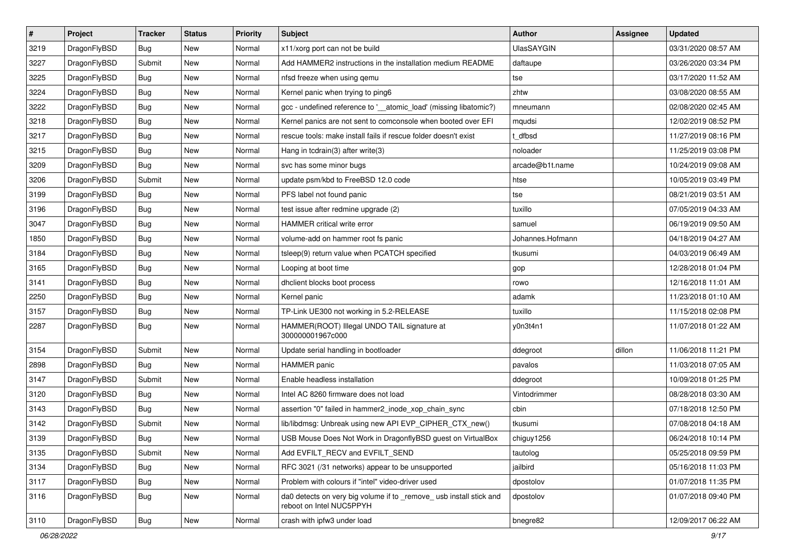| $\pmb{\#}$ | Project      | <b>Tracker</b> | <b>Status</b> | <b>Priority</b> | Subject                                                                                       | Author            | Assignee | <b>Updated</b>      |
|------------|--------------|----------------|---------------|-----------------|-----------------------------------------------------------------------------------------------|-------------------|----------|---------------------|
| 3219       | DragonFlyBSD | Bug            | New           | Normal          | x11/xorg port can not be build                                                                | <b>UlasSAYGIN</b> |          | 03/31/2020 08:57 AM |
| 3227       | DragonFlyBSD | Submit         | <b>New</b>    | Normal          | Add HAMMER2 instructions in the installation medium README                                    | daftaupe          |          | 03/26/2020 03:34 PM |
| 3225       | DragonFlyBSD | <b>Bug</b>     | New           | Normal          | nfsd freeze when using gemu                                                                   | tse               |          | 03/17/2020 11:52 AM |
| 3224       | DragonFlyBSD | Bug            | <b>New</b>    | Normal          | Kernel panic when trying to ping6                                                             | zhtw              |          | 03/08/2020 08:55 AM |
| 3222       | DragonFlyBSD | Bug            | <b>New</b>    | Normal          | gcc - undefined reference to '__atomic_load' (missing libatomic?)                             | mneumann          |          | 02/08/2020 02:45 AM |
| 3218       | DragonFlyBSD | <b>Bug</b>     | New           | Normal          | Kernel panics are not sent to comconsole when booted over EFI                                 | mqudsi            |          | 12/02/2019 08:52 PM |
| 3217       | DragonFlyBSD | Bug            | <b>New</b>    | Normal          | rescue tools: make install fails if rescue folder doesn't exist                               | t dfbsd           |          | 11/27/2019 08:16 PM |
| 3215       | DragonFlyBSD | Bug            | <b>New</b>    | Normal          | Hang in tcdrain(3) after write $(3)$                                                          | noloader          |          | 11/25/2019 03:08 PM |
| 3209       | DragonFlyBSD | Bug            | <b>New</b>    | Normal          | svc has some minor bugs                                                                       | arcade@b1t.name   |          | 10/24/2019 09:08 AM |
| 3206       | DragonFlyBSD | Submit         | <b>New</b>    | Normal          | update psm/kbd to FreeBSD 12.0 code                                                           | htse              |          | 10/05/2019 03:49 PM |
| 3199       | DragonFlyBSD | <b>Bug</b>     | <b>New</b>    | Normal          | PFS label not found panic                                                                     | tse               |          | 08/21/2019 03:51 AM |
| 3196       | DragonFlyBSD | Bug            | <b>New</b>    | Normal          | test issue after redmine upgrade (2)                                                          | tuxillo           |          | 07/05/2019 04:33 AM |
| 3047       | DragonFlyBSD | Bug            | New           | Normal          | <b>HAMMER</b> critical write error                                                            | samuel            |          | 06/19/2019 09:50 AM |
| 1850       | DragonFlyBSD | Bug            | New           | Normal          | volume-add on hammer root fs panic                                                            | Johannes.Hofmann  |          | 04/18/2019 04:27 AM |
| 3184       | DragonFlyBSD | Bug            | <b>New</b>    | Normal          | tsleep(9) return value when PCATCH specified                                                  | tkusumi           |          | 04/03/2019 06:49 AM |
| 3165       | DragonFlyBSD | Bug            | New           | Normal          | Looping at boot time                                                                          | gop               |          | 12/28/2018 01:04 PM |
| 3141       | DragonFlyBSD | <b>Bug</b>     | <b>New</b>    | Normal          | dhclient blocks boot process                                                                  | rowo              |          | 12/16/2018 11:01 AM |
| 2250       | DragonFlyBSD | Bug            | <b>New</b>    | Normal          | Kernel panic                                                                                  | adamk             |          | 11/23/2018 01:10 AM |
| 3157       | DragonFlyBSD | <b>Bug</b>     | New           | Normal          | TP-Link UE300 not working in 5.2-RELEASE                                                      | tuxillo           |          | 11/15/2018 02:08 PM |
| 2287       | DragonFlyBSD | Bug            | New           | Normal          | HAMMER(ROOT) Illegal UNDO TAIL signature at<br>300000001967c000                               | y0n3t4n1          |          | 11/07/2018 01:22 AM |
| 3154       | DragonFlyBSD | Submit         | New           | Normal          | Update serial handling in bootloader                                                          | ddegroot          | dillon   | 11/06/2018 11:21 PM |
| 2898       | DragonFlyBSD | Bug            | <b>New</b>    | Normal          | <b>HAMMER</b> panic                                                                           | pavalos           |          | 11/03/2018 07:05 AM |
| 3147       | DragonFlyBSD | Submit         | New           | Normal          | Enable headless installation                                                                  | ddegroot          |          | 10/09/2018 01:25 PM |
| 3120       | DragonFlyBSD | Bug            | <b>New</b>    | Normal          | Intel AC 8260 firmware does not load                                                          | Vintodrimmer      |          | 08/28/2018 03:30 AM |
| 3143       | DragonFlyBSD | <b>Bug</b>     | New           | Normal          | assertion "0" failed in hammer2_inode_xop_chain_sync                                          | cbin              |          | 07/18/2018 12:50 PM |
| 3142       | DragonFlyBSD | Submit         | New           | Normal          | lib/libdmsg: Unbreak using new API EVP_CIPHER_CTX_new()                                       | tkusumi           |          | 07/08/2018 04:18 AM |
| 3139       | DragonFlyBSD | Bug            | New           | Normal          | USB Mouse Does Not Work in DragonflyBSD guest on VirtualBox                                   | chiguy1256        |          | 06/24/2018 10:14 PM |
| 3135       | DragonFlyBSD | Submit         | New           | Normal          | Add EVFILT_RECV and EVFILT_SEND                                                               | tautolog          |          | 05/25/2018 09:59 PM |
| 3134       | DragonFlyBSD | Bug            | New           | Normal          | RFC 3021 (/31 networks) appear to be unsupported                                              | jailbird          |          | 05/16/2018 11:03 PM |
| 3117       | DragonFlyBSD | Bug            | New           | Normal          | Problem with colours if "intel" video-driver used                                             | dpostolov         |          | 01/07/2018 11:35 PM |
| 3116       | DragonFlyBSD | <b>Bug</b>     | New           | Normal          | da0 detects on very big volume if to remove usb install stick and<br>reboot on Intel NUC5PPYH | dpostolov         |          | 01/07/2018 09:40 PM |
| 3110       | DragonFlyBSD | <b>Bug</b>     | New           | Normal          | crash with ipfw3 under load                                                                   | bnegre82          |          | 12/09/2017 06:22 AM |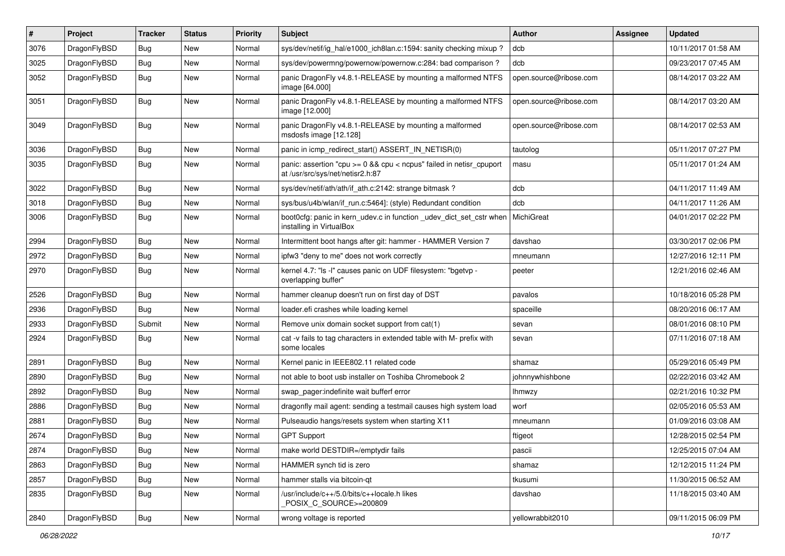| $\vert$ # | Project      | <b>Tracker</b> | <b>Status</b> | <b>Priority</b> | Subject                                                                                                 | <b>Author</b>          | Assignee | <b>Updated</b>      |
|-----------|--------------|----------------|---------------|-----------------|---------------------------------------------------------------------------------------------------------|------------------------|----------|---------------------|
| 3076      | DragonFlyBSD | Bug            | <b>New</b>    | Normal          | sys/dev/netif/ig_hal/e1000_ich8lan.c:1594: sanity checking mixup?                                       | dcb                    |          | 10/11/2017 01:58 AM |
| 3025      | DragonFlyBSD | Bug            | <b>New</b>    | Normal          | sys/dev/powermng/powernow/powernow.c:284: bad comparison?                                               | dcb                    |          | 09/23/2017 07:45 AM |
| 3052      | DragonFlyBSD | <b>Bug</b>     | <b>New</b>    | Normal          | panic DragonFly v4.8.1-RELEASE by mounting a malformed NTFS<br>image [64.000]                           | open.source@ribose.com |          | 08/14/2017 03:22 AM |
| 3051      | DragonFlyBSD | <b>Bug</b>     | New           | Normal          | panic DragonFly v4.8.1-RELEASE by mounting a malformed NTFS<br>image [12.000]                           | open.source@ribose.com |          | 08/14/2017 03:20 AM |
| 3049      | DragonFlyBSD | Bug            | <b>New</b>    | Normal          | panic DragonFly v4.8.1-RELEASE by mounting a malformed<br>msdosfs image [12.128]                        | open.source@ribose.com |          | 08/14/2017 02:53 AM |
| 3036      | DragonFlyBSD | Bug            | <b>New</b>    | Normal          | panic in icmp_redirect_start() ASSERT_IN_NETISR(0)                                                      | tautolog               |          | 05/11/2017 07:27 PM |
| 3035      | DragonFlyBSD | Bug            | <b>New</b>    | Normal          | panic: assertion "cpu >= 0 && cpu < ncpus" failed in netisr_cpuport<br>at /usr/src/sys/net/netisr2.h:87 | masu                   |          | 05/11/2017 01:24 AM |
| 3022      | DragonFlyBSD | Bug            | <b>New</b>    | Normal          | sys/dev/netif/ath/ath/if_ath.c:2142: strange bitmask?                                                   | dcb                    |          | 04/11/2017 11:49 AM |
| 3018      | DragonFlyBSD | Bug            | <b>New</b>    | Normal          | sys/bus/u4b/wlan/if_run.c:5464]: (style) Redundant condition                                            | dcb                    |          | 04/11/2017 11:26 AM |
| 3006      | DragonFlyBSD | <b>Bug</b>     | <b>New</b>    | Normal          | boot0cfg: panic in kern_udev.c in function _udev_dict_set_cstr when<br>installing in VirtualBox         | <b>MichiGreat</b>      |          | 04/01/2017 02:22 PM |
| 2994      | DragonFlyBSD | Bug            | New           | Normal          | Intermittent boot hangs after git: hammer - HAMMER Version 7                                            | davshao                |          | 03/30/2017 02:06 PM |
| 2972      | DragonFlyBSD | Bug            | New           | Normal          | ipfw3 "deny to me" does not work correctly                                                              | mneumann               |          | 12/27/2016 12:11 PM |
| 2970      | DragonFlyBSD | Bug            | <b>New</b>    | Normal          | kernel 4.7: "Is -I" causes panic on UDF filesystem: "bgetvp -<br>overlapping buffer"                    | peeter                 |          | 12/21/2016 02:46 AM |
| 2526      | DragonFlyBSD | Bug            | <b>New</b>    | Normal          | hammer cleanup doesn't run on first day of DST                                                          | pavalos                |          | 10/18/2016 05:28 PM |
| 2936      | DragonFlyBSD | Bug            | <b>New</b>    | Normal          | loader.efi crashes while loading kernel                                                                 | spaceille              |          | 08/20/2016 06:17 AM |
| 2933      | DragonFlyBSD | Submit         | <b>New</b>    | Normal          | Remove unix domain socket support from cat(1)                                                           | sevan                  |          | 08/01/2016 08:10 PM |
| 2924      | DragonFlyBSD | Bug            | <b>New</b>    | Normal          | cat -v fails to tag characters in extended table with M- prefix with<br>some locales                    | sevan                  |          | 07/11/2016 07:18 AM |
| 2891      | DragonFlyBSD | Bug            | <b>New</b>    | Normal          | Kernel panic in IEEE802.11 related code                                                                 | shamaz                 |          | 05/29/2016 05:49 PM |
| 2890      | DragonFlyBSD | Bug            | <b>New</b>    | Normal          | not able to boot usb installer on Toshiba Chromebook 2                                                  | johnnywhishbone        |          | 02/22/2016 03:42 AM |
| 2892      | DragonFlyBSD | Bug            | <b>New</b>    | Normal          | swap pager:indefinite wait bufferf error                                                                | <b>Ihmwzy</b>          |          | 02/21/2016 10:32 PM |
| 2886      | DragonFlyBSD | Bug            | <b>New</b>    | Normal          | dragonfly mail agent: sending a testmail causes high system load                                        | worf                   |          | 02/05/2016 05:53 AM |
| 2881      | DragonFlyBSD | Bug            | <b>New</b>    | Normal          | Pulseaudio hangs/resets system when starting X11                                                        | mneumann               |          | 01/09/2016 03:08 AM |
| 2674      | DragonFlyBSD | <b>Bug</b>     | <b>New</b>    | Normal          | <b>GPT Support</b>                                                                                      | ftigeot                |          | 12/28/2015 02:54 PM |
| 2874      | DragonFlyBSD | <b>Bug</b>     | New           | Normal          | make world DESTDIR=/emptydir fails                                                                      | pascii                 |          | 12/25/2015 07:04 AM |
| 2863      | DragonFlyBSD | <b>Bug</b>     | New           | Normal          | HAMMER synch tid is zero                                                                                | shamaz                 |          | 12/12/2015 11:24 PM |
| 2857      | DragonFlyBSD | <b>Bug</b>     | New           | Normal          | hammer stalls via bitcoin-qt                                                                            | tkusumi                |          | 11/30/2015 06:52 AM |
| 2835      | DragonFlyBSD | <b>Bug</b>     | New           | Normal          | /usr/include/c++/5.0/bits/c++locale.h likes<br>POSIX_C_SOURCE>=200809                                   | davshao                |          | 11/18/2015 03:40 AM |
| 2840      | DragonFlyBSD | <b>Bug</b>     | New           | Normal          | wrong voltage is reported                                                                               | yellowrabbit2010       |          | 09/11/2015 06:09 PM |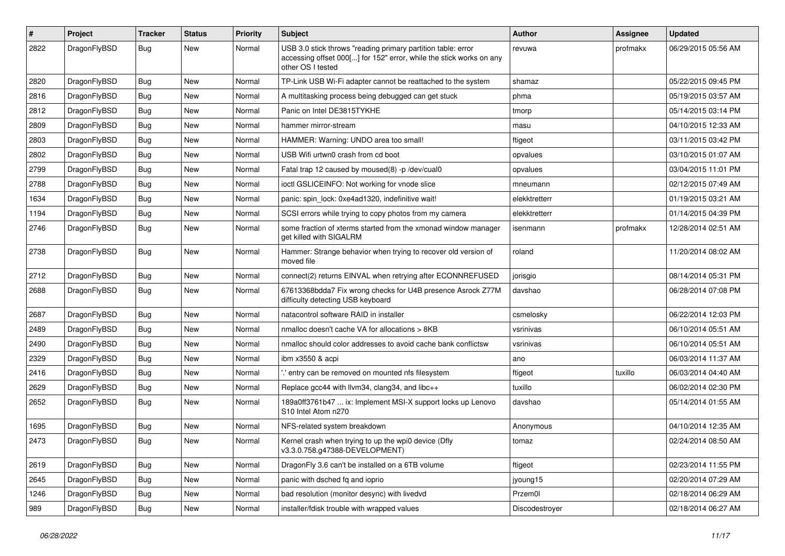| #    | Project      | <b>Tracker</b> | <b>Status</b> | <b>Priority</b> | Subject                                                                                                                                                  | <b>Author</b>  | <b>Assignee</b> | <b>Updated</b>      |
|------|--------------|----------------|---------------|-----------------|----------------------------------------------------------------------------------------------------------------------------------------------------------|----------------|-----------------|---------------------|
| 2822 | DragonFlyBSD | Bug            | New           | Normal          | USB 3.0 stick throws "reading primary partition table: error<br>accessing offset 000[] for 152" error, while the stick works on any<br>other OS I tested | revuwa         | profmakx        | 06/29/2015 05:56 AM |
| 2820 | DragonFlyBSD | Bug            | <b>New</b>    | Normal          | TP-Link USB Wi-Fi adapter cannot be reattached to the system                                                                                             | shamaz         |                 | 05/22/2015 09:45 PM |
| 2816 | DragonFlyBSD | Bug            | <b>New</b>    | Normal          | A multitasking process being debugged can get stuck                                                                                                      | phma           |                 | 05/19/2015 03:57 AM |
| 2812 | DragonFlyBSD | <b>Bug</b>     | <b>New</b>    | Normal          | Panic on Intel DE3815TYKHE                                                                                                                               | tmorp          |                 | 05/14/2015 03:14 PM |
| 2809 | DragonFlyBSD | <b>Bug</b>     | <b>New</b>    | Normal          | hammer mirror-stream                                                                                                                                     | masu           |                 | 04/10/2015 12:33 AM |
| 2803 | DragonFlyBSD | <b>Bug</b>     | New           | Normal          | HAMMER: Warning: UNDO area too small!                                                                                                                    | ftigeot        |                 | 03/11/2015 03:42 PM |
| 2802 | DragonFlyBSD | <b>Bug</b>     | <b>New</b>    | Normal          | USB Wifi urtwn0 crash from cd boot                                                                                                                       | opvalues       |                 | 03/10/2015 01:07 AM |
| 2799 | DragonFlyBSD | <b>Bug</b>     | <b>New</b>    | Normal          | Fatal trap 12 caused by moused(8) -p /dev/cual0                                                                                                          | opvalues       |                 | 03/04/2015 11:01 PM |
| 2788 | DragonFlyBSD | <b>Bug</b>     | <b>New</b>    | Normal          | ioctl GSLICEINFO: Not working for vnode slice                                                                                                            | mneumann       |                 | 02/12/2015 07:49 AM |
| 1634 | DragonFlyBSD | <b>Bug</b>     | <b>New</b>    | Normal          | panic: spin lock: 0xe4ad1320, indefinitive wait!                                                                                                         | elekktretterr  |                 | 01/19/2015 03:21 AM |
| 1194 | DragonFlyBSD | <b>Bug</b>     | <b>New</b>    | Normal          | SCSI errors while trying to copy photos from my camera                                                                                                   | elekktretterr  |                 | 01/14/2015 04:39 PM |
| 2746 | DragonFlyBSD | <b>Bug</b>     | New           | Normal          | some fraction of xterms started from the xmonad window manager<br>get killed with SIGALRM                                                                | isenmann       | profmakx        | 12/28/2014 02:51 AM |
| 2738 | DragonFlyBSD | Bug            | <b>New</b>    | Normal          | Hammer: Strange behavior when trying to recover old version of<br>moved file                                                                             | roland         |                 | 11/20/2014 08:02 AM |
| 2712 | DragonFlyBSD | <b>Bug</b>     | <b>New</b>    | Normal          | connect(2) returns EINVAL when retrying after ECONNREFUSED                                                                                               | jorisgio       |                 | 08/14/2014 05:31 PM |
| 2688 | DragonFlyBSD | <b>Bug</b>     | <b>New</b>    | Normal          | 67613368bdda7 Fix wrong checks for U4B presence Asrock Z77M<br>difficulty detecting USB keyboard                                                         | davshao        |                 | 06/28/2014 07:08 PM |
| 2687 | DragonFlyBSD | <b>Bug</b>     | <b>New</b>    | Normal          | natacontrol software RAID in installer                                                                                                                   | csmelosky      |                 | 06/22/2014 12:03 PM |
| 2489 | DragonFlyBSD | <b>Bug</b>     | <b>New</b>    | Normal          | nmalloc doesn't cache VA for allocations > 8KB                                                                                                           | vsrinivas      |                 | 06/10/2014 05:51 AM |
| 2490 | DragonFlyBSD | <b>Bug</b>     | <b>New</b>    | Normal          | nmalloc should color addresses to avoid cache bank conflictsw                                                                                            | vsrinivas      |                 | 06/10/2014 05:51 AM |
| 2329 | DragonFlyBSD | <b>Bug</b>     | New           | Normal          | ibm x3550 & acpi                                                                                                                                         | ano            |                 | 06/03/2014 11:37 AM |
| 2416 | DragonFlyBSD | <b>Bug</b>     | <b>New</b>    | Normal          | ' entry can be removed on mounted nfs filesystem                                                                                                         | ftigeot        | tuxillo         | 06/03/2014 04:40 AM |
| 2629 | DragonFlyBSD | <b>Bug</b>     | <b>New</b>    | Normal          | Replace gcc44 with llvm34, clang34, and libc++                                                                                                           | tuxillo        |                 | 06/02/2014 02:30 PM |
| 2652 | DragonFlyBSD | <b>Bug</b>     | New           | Normal          | 189a0ff3761b47  ix: Implement MSI-X support locks up Lenovo<br>S10 Intel Atom n270                                                                       | davshao        |                 | 05/14/2014 01:55 AM |
| 1695 | DragonFlyBSD | <b>Bug</b>     | <b>New</b>    | Normal          | NFS-related system breakdown                                                                                                                             | Anonymous      |                 | 04/10/2014 12:35 AM |
| 2473 | DragonFlyBSD | Bug            | New           | Normal          | Kernel crash when trying to up the wpi0 device (Dfly<br>v3.3.0.758.g47388-DEVELOPMENT)                                                                   | tomaz          |                 | 02/24/2014 08:50 AM |
| 2619 | DragonFlyBSD | <b>Bug</b>     | New           | Normal          | DragonFly 3.6 can't be installed on a 6TB volume                                                                                                         | ftigeot        |                 | 02/23/2014 11:55 PM |
| 2645 | DragonFlyBSD | Bug            | <b>New</b>    | Normal          | panic with dsched fq and ioprio                                                                                                                          | jyoung15       |                 | 02/20/2014 07:29 AM |
| 1246 | DragonFlyBSD | <b>Bug</b>     | New           | Normal          | bad resolution (monitor desync) with livedvd                                                                                                             | Przem0l        |                 | 02/18/2014 06:29 AM |
| 989  | DragonFlyBSD | <b>Bug</b>     | New           | Normal          | installer/fdisk trouble with wrapped values                                                                                                              | Discodestroyer |                 | 02/18/2014 06:27 AM |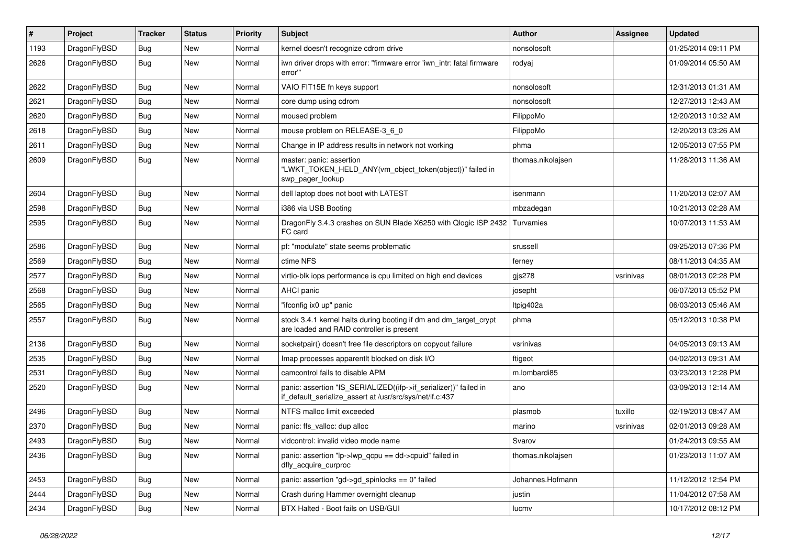| $\sharp$ | Project      | <b>Tracker</b> | <b>Status</b> | <b>Priority</b> | Subject                                                                                                                      | <b>Author</b>     | Assignee  | <b>Updated</b>      |
|----------|--------------|----------------|---------------|-----------------|------------------------------------------------------------------------------------------------------------------------------|-------------------|-----------|---------------------|
| 1193     | DragonFlyBSD | Bug            | <b>New</b>    | Normal          | kernel doesn't recognize cdrom drive                                                                                         | nonsolosoft       |           | 01/25/2014 09:11 PM |
| 2626     | DragonFlyBSD | <b>Bug</b>     | <b>New</b>    | Normal          | iwn driver drops with error: "firmware error 'iwn_intr: fatal firmware<br>error"                                             | rodyaj            |           | 01/09/2014 05:50 AM |
| 2622     | DragonFlyBSD | Bug            | <b>New</b>    | Normal          | VAIO FIT15E fn keys support                                                                                                  | nonsolosoft       |           | 12/31/2013 01:31 AM |
| 2621     | DragonFlyBSD | Bug            | New           | Normal          | core dump using cdrom                                                                                                        | nonsolosoft       |           | 12/27/2013 12:43 AM |
| 2620     | DragonFlyBSD | Bug            | <b>New</b>    | Normal          | moused problem                                                                                                               | FilippoMo         |           | 12/20/2013 10:32 AM |
| 2618     | DragonFlyBSD | Bug            | <b>New</b>    | Normal          | mouse problem on RELEASE-3_6_0                                                                                               | FilippoMo         |           | 12/20/2013 03:26 AM |
| 2611     | DragonFlyBSD | Bug            | <b>New</b>    | Normal          | Change in IP address results in network not working                                                                          | phma              |           | 12/05/2013 07:55 PM |
| 2609     | DragonFlyBSD | Bug            | New           | Normal          | master: panic: assertion<br>"LWKT_TOKEN_HELD_ANY(vm_object_token(object))" failed in<br>swp_pager_lookup                     | thomas.nikolajsen |           | 11/28/2013 11:36 AM |
| 2604     | DragonFlyBSD | Bug            | <b>New</b>    | Normal          | dell laptop does not boot with LATEST                                                                                        | isenmann          |           | 11/20/2013 02:07 AM |
| 2598     | DragonFlyBSD | Bug            | <b>New</b>    | Normal          | i386 via USB Booting                                                                                                         | mbzadegan         |           | 10/21/2013 02:28 AM |
| 2595     | DragonFlyBSD | Bug            | <b>New</b>    | Normal          | DragonFly 3.4.3 crashes on SUN Blade X6250 with Qlogic ISP 2432<br>FC card                                                   | Turvamies         |           | 10/07/2013 11:53 AM |
| 2586     | DragonFlyBSD | Bug            | <b>New</b>    | Normal          | pf: "modulate" state seems problematic                                                                                       | srussell          |           | 09/25/2013 07:36 PM |
| 2569     | DragonFlyBSD | Bug            | New           | Normal          | ctime NFS                                                                                                                    | ferney            |           | 08/11/2013 04:35 AM |
| 2577     | DragonFlyBSD | Bug            | <b>New</b>    | Normal          | virtio-blk iops performance is cpu limited on high end devices                                                               | gjs278            | vsrinivas | 08/01/2013 02:28 PM |
| 2568     | DragonFlyBSD | Bug            | New           | Normal          | AHCI panic                                                                                                                   | josepht           |           | 06/07/2013 05:52 PM |
| 2565     | DragonFlyBSD | Bug            | New           | Normal          | "ifconfig ix0 up" panic                                                                                                      | ltpig402a         |           | 06/03/2013 05:46 AM |
| 2557     | DragonFlyBSD | Bug            | <b>New</b>    | Normal          | stock 3.4.1 kernel halts during booting if dm and dm_target_crypt<br>are loaded and RAID controller is present               | phma              |           | 05/12/2013 10:38 PM |
| 2136     | DragonFlyBSD | Bug            | New           | Normal          | socketpair() doesn't free file descriptors on copyout failure                                                                | vsrinivas         |           | 04/05/2013 09:13 AM |
| 2535     | DragonFlyBSD | Bug            | <b>New</b>    | Normal          | Imap processes apparentlt blocked on disk I/O                                                                                | ftigeot           |           | 04/02/2013 09:31 AM |
| 2531     | DragonFlyBSD | Bug            | New           | Normal          | camcontrol fails to disable APM                                                                                              | m.lombardi85      |           | 03/23/2013 12:28 PM |
| 2520     | DragonFlyBSD | Bug            | New           | Normal          | panic: assertion "IS_SERIALIZED((ifp->if_serializer))" failed in<br>if default serialize assert at /usr/src/sys/net/if.c:437 | ano               |           | 03/09/2013 12:14 AM |
| 2496     | DragonFlyBSD | Bug            | <b>New</b>    | Normal          | NTFS malloc limit exceeded                                                                                                   | plasmob           | tuxillo   | 02/19/2013 08:47 AM |
| 2370     | DragonFlyBSD | Bug            | New           | Normal          | panic: ffs_valloc: dup alloc                                                                                                 | marino            | vsrinivas | 02/01/2013 09:28 AM |
| 2493     | DragonFlyBSD | Bug            | <b>New</b>    | Normal          | vidcontrol: invalid video mode name                                                                                          | Svarov            |           | 01/24/2013 09:55 AM |
| 2436     | DragonFlyBSD | <b>Bug</b>     | New           | Normal          | panic: assertion "lp->lwp_qcpu == dd->cpuid" failed in<br>dfly_acquire_curproc                                               | thomas.nikolajsen |           | 01/23/2013 11:07 AM |
| 2453     | DragonFlyBSD | <b>Bug</b>     | <b>New</b>    | Normal          | panic: assertion "gd->gd_spinlocks == 0" failed                                                                              | Johannes.Hofmann  |           | 11/12/2012 12:54 PM |
| 2444     | DragonFlyBSD | <b>Bug</b>     | <b>New</b>    | Normal          | Crash during Hammer overnight cleanup                                                                                        | justin            |           | 11/04/2012 07:58 AM |
| 2434     | DragonFlyBSD | <b>Bug</b>     | New           | Normal          | BTX Halted - Boot fails on USB/GUI                                                                                           | lucmv             |           | 10/17/2012 08:12 PM |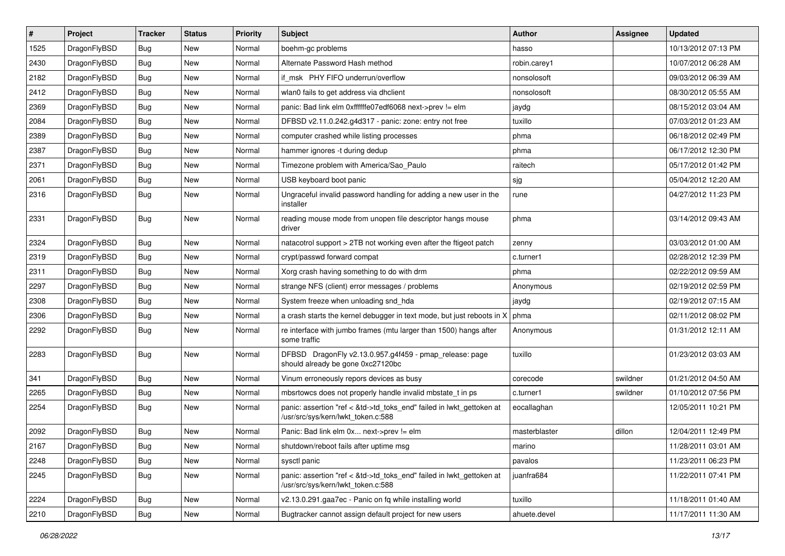| $\sharp$ | Project      | <b>Tracker</b> | <b>Status</b> | <b>Priority</b> | Subject                                                                                                    | Author        | Assignee | <b>Updated</b>      |
|----------|--------------|----------------|---------------|-----------------|------------------------------------------------------------------------------------------------------------|---------------|----------|---------------------|
| 1525     | DragonFlyBSD | Bug            | New           | Normal          | boehm-gc problems                                                                                          | hasso         |          | 10/13/2012 07:13 PM |
| 2430     | DragonFlyBSD | Bug            | <b>New</b>    | Normal          | Alternate Password Hash method                                                                             | robin.carey1  |          | 10/07/2012 06:28 AM |
| 2182     | DragonFlyBSD | <b>Bug</b>     | New           | Normal          | if msk PHY FIFO underrun/overflow                                                                          | nonsolosoft   |          | 09/03/2012 06:39 AM |
| 2412     | DragonFlyBSD | Bug            | <b>New</b>    | Normal          | wlan0 fails to get address via dhclient                                                                    | nonsolosoft   |          | 08/30/2012 05:55 AM |
| 2369     | DragonFlyBSD | Bug            | <b>New</b>    | Normal          | panic: Bad link elm 0xffffffe07edf6068 next->prev != elm                                                   | jaydg         |          | 08/15/2012 03:04 AM |
| 2084     | DragonFlyBSD | <b>Bug</b>     | <b>New</b>    | Normal          | DFBSD v2.11.0.242.g4d317 - panic: zone: entry not free                                                     | tuxillo       |          | 07/03/2012 01:23 AM |
| 2389     | DragonFlyBSD | Bug            | New           | Normal          | computer crashed while listing processes                                                                   | phma          |          | 06/18/2012 02:49 PM |
| 2387     | DragonFlyBSD | <b>Bug</b>     | <b>New</b>    | Normal          | hammer ignores -t during dedup                                                                             | phma          |          | 06/17/2012 12:30 PM |
| 2371     | DragonFlyBSD | Bug            | New           | Normal          | Timezone problem with America/Sao_Paulo                                                                    | raitech       |          | 05/17/2012 01:42 PM |
| 2061     | DragonFlyBSD | Bug            | New           | Normal          | USB keyboard boot panic                                                                                    | sjg           |          | 05/04/2012 12:20 AM |
| 2316     | DragonFlyBSD | <b>Bug</b>     | New           | Normal          | Ungraceful invalid password handling for adding a new user in the<br>installer                             | rune          |          | 04/27/2012 11:23 PM |
| 2331     | DragonFlyBSD | Bug            | <b>New</b>    | Normal          | reading mouse mode from unopen file descriptor hangs mouse<br>driver                                       | phma          |          | 03/14/2012 09:43 AM |
| 2324     | DragonFlyBSD | Bug            | <b>New</b>    | Normal          | natacotrol support > 2TB not working even after the ftigeot patch                                          | zenny         |          | 03/03/2012 01:00 AM |
| 2319     | DragonFlyBSD | Bug            | New           | Normal          | crypt/passwd forward compat                                                                                | c.turner1     |          | 02/28/2012 12:39 PM |
| 2311     | DragonFlyBSD | Bug            | New           | Normal          | Xorg crash having something to do with drm                                                                 | phma          |          | 02/22/2012 09:59 AM |
| 2297     | DragonFlyBSD | Bug            | <b>New</b>    | Normal          | strange NFS (client) error messages / problems                                                             | Anonymous     |          | 02/19/2012 02:59 PM |
| 2308     | DragonFlyBSD | Bug            | New           | Normal          | System freeze when unloading snd_hda                                                                       | jaydg         |          | 02/19/2012 07:15 AM |
| 2306     | DragonFlyBSD | Bug            | <b>New</b>    | Normal          | a crash starts the kernel debugger in text mode, but just reboots in X                                     | phma          |          | 02/11/2012 08:02 PM |
| 2292     | DragonFlyBSD | Bug            | <b>New</b>    | Normal          | re interface with jumbo frames (mtu larger than 1500) hangs after<br>some traffic                          | Anonymous     |          | 01/31/2012 12:11 AM |
| 2283     | DragonFlyBSD | Bug            | New           | Normal          | DFBSD DragonFly v2.13.0.957.g4f459 - pmap_release: page<br>should already be gone 0xc27120bc               | tuxillo       |          | 01/23/2012 03:03 AM |
| 341      | DragonFlyBSD | Bug            | New           | Normal          | Vinum erroneously repors devices as busy                                                                   | corecode      | swildner | 01/21/2012 04:50 AM |
| 2265     | DragonFlyBSD | Bug            | New           | Normal          | mbsrtowcs does not properly handle invalid mbstate_t in ps                                                 | c.turner1     | swildner | 01/10/2012 07:56 PM |
| 2254     | DragonFlyBSD | Bug            | New           | Normal          | panic: assertion "ref < &td->td_toks_end" failed in lwkt_gettoken at<br>/usr/src/sys/kern/lwkt_token.c:588 | eocallaghan   |          | 12/05/2011 10:21 PM |
| 2092     | DragonFlyBSD | Bug            | New           | Normal          | Panic: Bad link elm 0x next->prev != elm                                                                   | masterblaster | dillon   | 12/04/2011 12:49 PM |
| 2167     | DragonFlyBSD | <b>Bug</b>     | New           | Normal          | shutdown/reboot fails after uptime msg                                                                     | marino        |          | 11/28/2011 03:01 AM |
| 2248     | DragonFlyBSD | <b>Bug</b>     | <b>New</b>    | Normal          | sysctl panic                                                                                               | pavalos       |          | 11/23/2011 06:23 PM |
| 2245     | DragonFlyBSD | <b>Bug</b>     | New           | Normal          | panic: assertion "ref < &td->td_toks_end" failed in lwkt_gettoken at<br>/usr/src/sys/kern/lwkt_token.c:588 | juanfra684    |          | 11/22/2011 07:41 PM |
| 2224     | DragonFlyBSD | <b>Bug</b>     | New           | Normal          | v2.13.0.291.gaa7ec - Panic on fq while installing world                                                    | tuxillo       |          | 11/18/2011 01:40 AM |
| 2210     | DragonFlyBSD | <b>Bug</b>     | New           | Normal          | Bugtracker cannot assign default project for new users                                                     | ahuete.devel  |          | 11/17/2011 11:30 AM |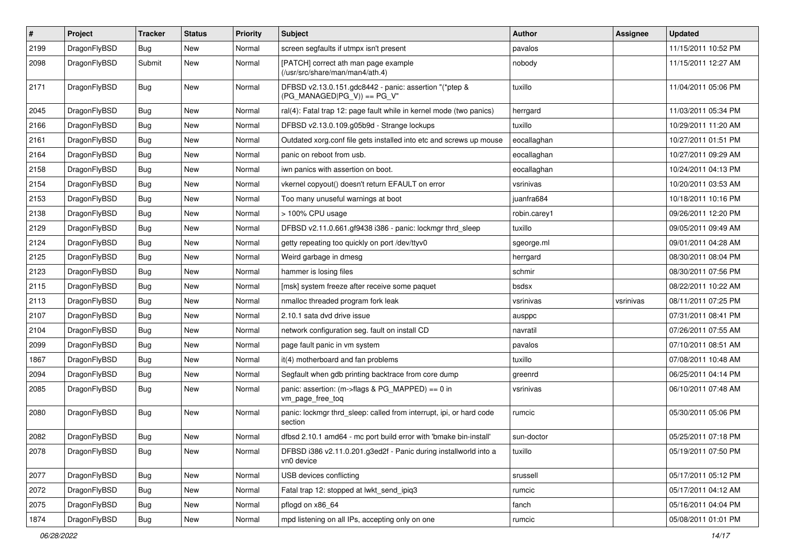| $\sharp$ | Project      | <b>Tracker</b> | <b>Status</b> | <b>Priority</b> | Subject                                                                                 | Author       | Assignee  | <b>Updated</b>      |
|----------|--------------|----------------|---------------|-----------------|-----------------------------------------------------------------------------------------|--------------|-----------|---------------------|
| 2199     | DragonFlyBSD | Bug            | New           | Normal          | screen segfaults if utmpx isn't present                                                 | pavalos      |           | 11/15/2011 10:52 PM |
| 2098     | DragonFlyBSD | Submit         | New           | Normal          | [PATCH] correct ath man page example<br>(/usr/src/share/man/man4/ath.4)                 | nobody       |           | 11/15/2011 12:27 AM |
| 2171     | DragonFlyBSD | Bug            | New           | Normal          | DFBSD v2.13.0.151.gdc8442 - panic: assertion "(*ptep &<br>$(PG_MANAGED PG_V)) == PG_V"$ | tuxillo      |           | 11/04/2011 05:06 PM |
| 2045     | DragonFlyBSD | Bug            | <b>New</b>    | Normal          | ral(4): Fatal trap 12: page fault while in kernel mode (two panics)                     | herrgard     |           | 11/03/2011 05:34 PM |
| 2166     | DragonFlyBSD | Bug            | New           | Normal          | DFBSD v2.13.0.109.g05b9d - Strange lockups                                              | tuxillo      |           | 10/29/2011 11:20 AM |
| 2161     | DragonFlyBSD | Bug            | New           | Normal          | Outdated xorg.conf file gets installed into etc and screws up mouse                     | eocallaghan  |           | 10/27/2011 01:51 PM |
| 2164     | DragonFlyBSD | Bug            | <b>New</b>    | Normal          | panic on reboot from usb.                                                               | eocallaghan  |           | 10/27/2011 09:29 AM |
| 2158     | DragonFlyBSD | Bug            | New           | Normal          | iwn panics with assertion on boot.                                                      | eocallaghan  |           | 10/24/2011 04:13 PM |
| 2154     | DragonFlyBSD | Bug            | <b>New</b>    | Normal          | vkernel copyout() doesn't return EFAULT on error                                        | vsrinivas    |           | 10/20/2011 03:53 AM |
| 2153     | DragonFlyBSD | <b>Bug</b>     | New           | Normal          | Too many unuseful warnings at boot                                                      | juanfra684   |           | 10/18/2011 10:16 PM |
| 2138     | DragonFlyBSD | Bug            | New           | Normal          | > 100% CPU usage                                                                        | robin.carey1 |           | 09/26/2011 12:20 PM |
| 2129     | DragonFlyBSD | <b>Bug</b>     | New           | Normal          | DFBSD v2.11.0.661.gf9438 i386 - panic: lockmgr thrd_sleep                               | tuxillo      |           | 09/05/2011 09:49 AM |
| 2124     | DragonFlyBSD | <b>Bug</b>     | New           | Normal          | getty repeating too quickly on port /dev/ttyv0                                          | sgeorge.ml   |           | 09/01/2011 04:28 AM |
| 2125     | DragonFlyBSD | <b>Bug</b>     | New           | Normal          | Weird garbage in dmesg                                                                  | herrgard     |           | 08/30/2011 08:04 PM |
| 2123     | DragonFlyBSD | <b>Bug</b>     | New           | Normal          | hammer is losing files                                                                  | schmir       |           | 08/30/2011 07:56 PM |
| 2115     | DragonFlyBSD | <b>Bug</b>     | <b>New</b>    | Normal          | [msk] system freeze after receive some paquet                                           | bsdsx        |           | 08/22/2011 10:22 AM |
| 2113     | DragonFlyBSD | <b>Bug</b>     | New           | Normal          | nmalloc threaded program fork leak                                                      | vsrinivas    | vsrinivas | 08/11/2011 07:25 PM |
| 2107     | DragonFlyBSD | <b>Bug</b>     | New           | Normal          | 2.10.1 sata dvd drive issue                                                             | ausppc       |           | 07/31/2011 08:41 PM |
| 2104     | DragonFlyBSD | <b>Bug</b>     | New           | Normal          | network configuration seg. fault on install CD                                          | navratil     |           | 07/26/2011 07:55 AM |
| 2099     | DragonFlyBSD | <b>Bug</b>     | New           | Normal          | page fault panic in vm system                                                           | pavalos      |           | 07/10/2011 08:51 AM |
| 1867     | DragonFlyBSD | <b>Bug</b>     | New           | Normal          | it(4) motherboard and fan problems                                                      | tuxillo      |           | 07/08/2011 10:48 AM |
| 2094     | DragonFlyBSD | <b>Bug</b>     | New           | Normal          | Segfault when gdb printing backtrace from core dump                                     | greenrd      |           | 06/25/2011 04:14 PM |
| 2085     | DragonFlyBSD | <b>Bug</b>     | New           | Normal          | panic: assertion: (m->flags & PG_MAPPED) == 0 in<br>vm_page_free_toq                    | vsrinivas    |           | 06/10/2011 07:48 AM |
| 2080     | DragonFlyBSD | <b>Bug</b>     | New           | Normal          | panic: lockmgr thrd sleep: called from interrupt, ipi, or hard code<br>section          | rumcic       |           | 05/30/2011 05:06 PM |
| 2082     | DragonFlyBSD | Bug            | <b>New</b>    | Normal          | dfbsd 2.10.1 amd64 - mc port build error with 'bmake bin-install'                       | sun-doctor   |           | 05/25/2011 07:18 PM |
| 2078     | DragonFlyBSD | <b>Bug</b>     | New           | Normal          | DFBSD i386 v2.11.0.201.g3ed2f - Panic during installworld into a<br>vn0 device          | tuxillo      |           | 05/19/2011 07:50 PM |
| 2077     | DragonFlyBSD | <b>Bug</b>     | New           | Normal          | USB devices conflicting                                                                 | srussell     |           | 05/17/2011 05:12 PM |
| 2072     | DragonFlyBSD | <b>Bug</b>     | New           | Normal          | Fatal trap 12: stopped at lwkt_send_ipiq3                                               | rumcic       |           | 05/17/2011 04:12 AM |
| 2075     | DragonFlyBSD | <b>Bug</b>     | <b>New</b>    | Normal          | pflogd on x86_64                                                                        | fanch        |           | 05/16/2011 04:04 PM |
| 1874     | DragonFlyBSD | <b>Bug</b>     | New           | Normal          | mpd listening on all IPs, accepting only on one                                         | rumcic       |           | 05/08/2011 01:01 PM |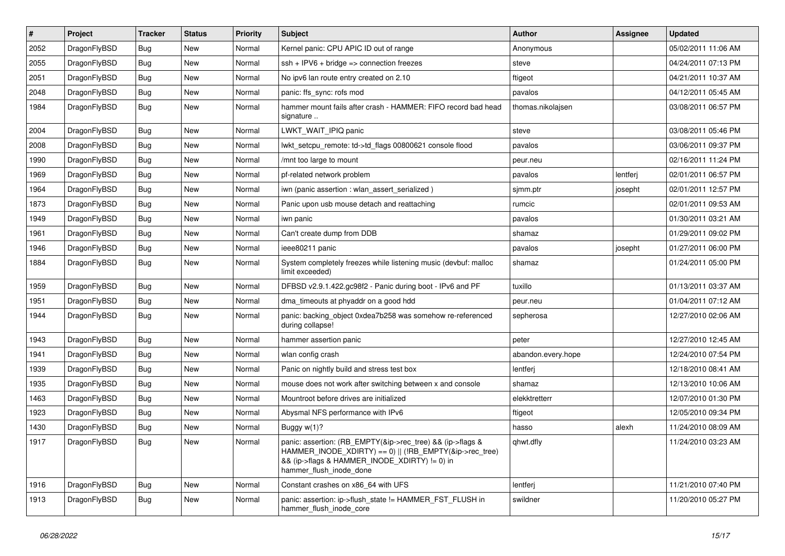| $\vert$ # | Project      | <b>Tracker</b> | <b>Status</b> | <b>Priority</b> | <b>Subject</b>                                                                                                                                                                                    | <b>Author</b>      | Assignee | <b>Updated</b>      |
|-----------|--------------|----------------|---------------|-----------------|---------------------------------------------------------------------------------------------------------------------------------------------------------------------------------------------------|--------------------|----------|---------------------|
| 2052      | DragonFlyBSD | <b>Bug</b>     | <b>New</b>    | Normal          | Kernel panic: CPU APIC ID out of range                                                                                                                                                            | Anonymous          |          | 05/02/2011 11:06 AM |
| 2055      | DragonFlyBSD | Bug            | <b>New</b>    | Normal          | $ssh + IPV6 + bridge \Rightarrow$ connection freezes                                                                                                                                              | steve              |          | 04/24/2011 07:13 PM |
| 2051      | DragonFlyBSD | Bug            | <b>New</b>    | Normal          | No ipv6 lan route entry created on 2.10                                                                                                                                                           | ftigeot            |          | 04/21/2011 10:37 AM |
| 2048      | DragonFlyBSD | Bug            | <b>New</b>    | Normal          | panic: ffs sync: rofs mod                                                                                                                                                                         | pavalos            |          | 04/12/2011 05:45 AM |
| 1984      | DragonFlyBSD | Bug            | <b>New</b>    | Normal          | hammer mount fails after crash - HAMMER: FIFO record bad head<br>signature                                                                                                                        | thomas.nikolajsen  |          | 03/08/2011 06:57 PM |
| 2004      | DragonFlyBSD | Bug            | <b>New</b>    | Normal          | LWKT WAIT IPIQ panic                                                                                                                                                                              | steve              |          | 03/08/2011 05:46 PM |
| 2008      | DragonFlyBSD | <b>Bug</b>     | <b>New</b>    | Normal          | lwkt setcpu remote: td->td flags 00800621 console flood                                                                                                                                           | pavalos            |          | 03/06/2011 09:37 PM |
| 1990      | DragonFlyBSD | Bug            | <b>New</b>    | Normal          | /mnt too large to mount                                                                                                                                                                           | peur.neu           |          | 02/16/2011 11:24 PM |
| 1969      | DragonFlyBSD | <b>Bug</b>     | <b>New</b>    | Normal          | pf-related network problem                                                                                                                                                                        | pavalos            | lentferj | 02/01/2011 06:57 PM |
| 1964      | DragonFlyBSD | Bug            | <b>New</b>    | Normal          | iwn (panic assertion : wlan assert serialized)                                                                                                                                                    | sjmm.ptr           | josepht  | 02/01/2011 12:57 PM |
| 1873      | DragonFlyBSD | <b>Bug</b>     | New           | Normal          | Panic upon usb mouse detach and reattaching                                                                                                                                                       | rumcic             |          | 02/01/2011 09:53 AM |
| 1949      | DragonFlyBSD | Bug            | New           | Normal          | iwn panic                                                                                                                                                                                         | pavalos            |          | 01/30/2011 03:21 AM |
| 1961      | DragonFlyBSD | <b>Bug</b>     | New           | Normal          | Can't create dump from DDB                                                                                                                                                                        | shamaz             |          | 01/29/2011 09:02 PM |
| 1946      | DragonFlyBSD | <b>Bug</b>     | <b>New</b>    | Normal          | ieee80211 panic                                                                                                                                                                                   | pavalos            | josepht  | 01/27/2011 06:00 PM |
| 1884      | DragonFlyBSD | <b>Bug</b>     | New           | Normal          | System completely freezes while listening music (devbuf: malloc<br>limit exceeded)                                                                                                                | shamaz             |          | 01/24/2011 05:00 PM |
| 1959      | DragonFlyBSD | <b>Bug</b>     | <b>New</b>    | Normal          | DFBSD v2.9.1.422.gc98f2 - Panic during boot - IPv6 and PF                                                                                                                                         | tuxillo            |          | 01/13/2011 03:37 AM |
| 1951      | DragonFlyBSD | Bug            | <b>New</b>    | Normal          | dma_timeouts at phyaddr on a good hdd                                                                                                                                                             | peur.neu           |          | 01/04/2011 07:12 AM |
| 1944      | DragonFlyBSD | <b>Bug</b>     | <b>New</b>    | Normal          | panic: backing object 0xdea7b258 was somehow re-referenced<br>during collapse!                                                                                                                    | sepherosa          |          | 12/27/2010 02:06 AM |
| 1943      | DragonFlyBSD | Bug            | <b>New</b>    | Normal          | hammer assertion panic                                                                                                                                                                            | peter              |          | 12/27/2010 12:45 AM |
| 1941      | DragonFlyBSD | Bug            | <b>New</b>    | Normal          | wlan config crash                                                                                                                                                                                 | abandon.every.hope |          | 12/24/2010 07:54 PM |
| 1939      | DragonFlyBSD | <b>Bug</b>     | <b>New</b>    | Normal          | Panic on nightly build and stress test box                                                                                                                                                        | lentferi           |          | 12/18/2010 08:41 AM |
| 1935      | DragonFlyBSD | Bug            | New           | Normal          | mouse does not work after switching between x and console                                                                                                                                         | shamaz             |          | 12/13/2010 10:06 AM |
| 1463      | DragonFlyBSD | Bug            | <b>New</b>    | Normal          | Mountroot before drives are initialized                                                                                                                                                           | elekktretterr      |          | 12/07/2010 01:30 PM |
| 1923      | DragonFlyBSD | Bug            | <b>New</b>    | Normal          | Abysmal NFS performance with IPv6                                                                                                                                                                 | ftigeot            |          | 12/05/2010 09:34 PM |
| 1430      | DragonFlyBSD | Bug            | <b>New</b>    | Normal          | Buggy w(1)?                                                                                                                                                                                       | hasso              | alexh    | 11/24/2010 08:09 AM |
| 1917      | DragonFlyBSD | Bug            | New           | Normal          | panic: assertion: (RB EMPTY(&ip->rec tree) && (ip->flags &<br>HAMMER_INODE_XDIRTY) == 0)    (!RB_EMPTY(&ip->rec_tree)<br>&& (ip->flags & HAMMER_INODE_XDIRTY) != 0) in<br>hammer flush inode done | qhwt.dfly          |          | 11/24/2010 03:23 AM |
| 1916      | DragonFlyBSD | <b>Bug</b>     | <b>New</b>    | Normal          | Constant crashes on x86 64 with UFS                                                                                                                                                               | lentferj           |          | 11/21/2010 07:40 PM |
| 1913      | DragonFlyBSD | Bug            | <b>New</b>    | Normal          | panic: assertion: ip->flush_state != HAMMER_FST_FLUSH in<br>hammer flush inode core                                                                                                               | swildner           |          | 11/20/2010 05:27 PM |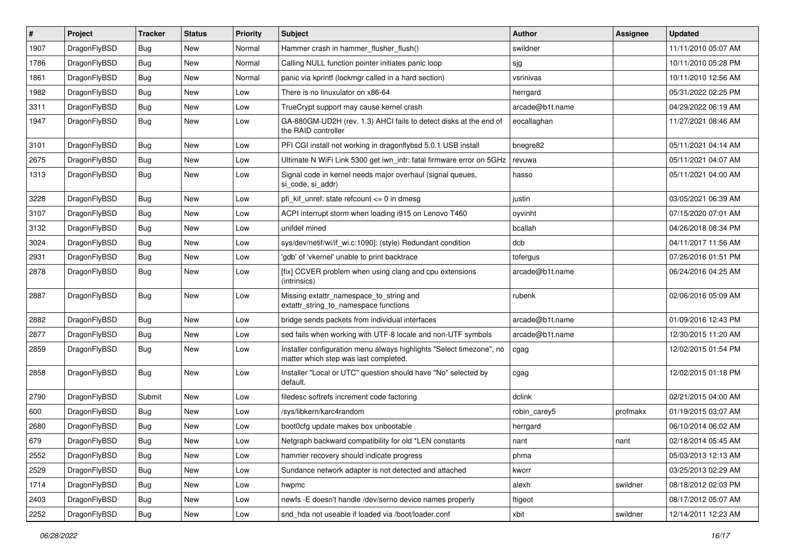| $\vert$ # | Project      | <b>Tracker</b> | <b>Status</b> | <b>Priority</b> | Subject                                                                                                       | Author          | Assignee | <b>Updated</b>      |
|-----------|--------------|----------------|---------------|-----------------|---------------------------------------------------------------------------------------------------------------|-----------------|----------|---------------------|
| 1907      | DragonFlyBSD | <b>Bug</b>     | <b>New</b>    | Normal          | Hammer crash in hammer_flusher_flush()                                                                        | swildner        |          | 11/11/2010 05:07 AM |
| 1786      | DragonFlyBSD | Bug            | <b>New</b>    | Normal          | Calling NULL function pointer initiates panic loop                                                            | sjg             |          | 10/11/2010 05:28 PM |
| 1861      | DragonFlyBSD | <b>Bug</b>     | <b>New</b>    | Normal          | panic via kprintf (lockmgr called in a hard section)                                                          | vsrinivas       |          | 10/11/2010 12:56 AM |
| 1982      | DragonFlyBSD | Bug            | <b>New</b>    | Low             | There is no linuxulator on x86-64                                                                             | herrgard        |          | 05/31/2022 02:25 PM |
| 3311      | DragonFlyBSD | <b>Bug</b>     | <b>New</b>    | Low             | TrueCrypt support may cause kernel crash                                                                      | arcade@b1t.name |          | 04/29/2022 06:19 AM |
| 1947      | DragonFlyBSD | Bug            | New           | Low             | GA-880GM-UD2H (rev. 1.3) AHCI fails to detect disks at the end of<br>the RAID controller                      | eocallaghan     |          | 11/27/2021 08:46 AM |
| 3101      | DragonFlyBSD | <b>Bug</b>     | <b>New</b>    | Low             | PFI CGI install not working in dragonflybsd 5.0.1 USB install                                                 | bnegre82        |          | 05/11/2021 04:14 AM |
| 2675      | DragonFlyBSD | Bug            | <b>New</b>    | Low             | Ultimate N WiFi Link 5300 get iwn_intr: fatal firmware error on 5GHz                                          | revuwa          |          | 05/11/2021 04:07 AM |
| 1313      | DragonFlyBSD | Bug            | New           | Low             | Signal code in kernel needs major overhaul (signal queues,<br>si code, si addr)                               | hasso           |          | 05/11/2021 04:00 AM |
| 3228      | DragonFlyBSD | Bug            | <b>New</b>    | Low             | pfi kif unref: state refcount $\leq$ 0 in dmesg                                                               | justin          |          | 03/05/2021 06:39 AM |
| 3107      | DragonFlyBSD | <b>Bug</b>     | <b>New</b>    | Low             | ACPI interrupt storm when loading i915 on Lenovo T460                                                         | oyvinht         |          | 07/15/2020 07:01 AM |
| 3132      | DragonFlyBSD | <b>Bug</b>     | <b>New</b>    | Low             | unifdef mined                                                                                                 | bcallah         |          | 04/26/2018 08:34 PM |
| 3024      | DragonFlyBSD | Bug            | <b>New</b>    | Low             | sys/dev/netif/wi/if_wi.c:1090]: (style) Redundant condition                                                   | dcb             |          | 04/11/2017 11:56 AM |
| 2931      | DragonFlyBSD | <b>Bug</b>     | New           | Low             | 'gdb' of 'vkernel' unable to print backtrace                                                                  | tofergus        |          | 07/26/2016 01:51 PM |
| 2878      | DragonFlyBSD | Bug            | <b>New</b>    | Low             | [fix] CCVER problem when using clang and cpu extensions<br>(intrinsics)                                       | arcade@b1t.name |          | 06/24/2016 04:25 AM |
| 2887      | DragonFlyBSD | Bug            | New           | Low             | Missing extattr_namespace_to_string and<br>extattr_string_to_namespace functions                              | rubenk          |          | 02/06/2016 05:09 AM |
| 2882      | DragonFlyBSD | <b>Bug</b>     | New           | Low             | bridge sends packets from individual interfaces                                                               | arcade@b1t.name |          | 01/09/2016 12:43 PM |
| 2877      | DragonFlyBSD | <b>Bug</b>     | New           | Low             | sed fails when working with UTF-8 locale and non-UTF symbols                                                  | arcade@b1t.name |          | 12/30/2015 11:20 AM |
| 2859      | DragonFlyBSD | Bug            | <b>New</b>    | Low             | Installer configuration menu always highlights "Select timezone", no<br>matter which step was last completed. | cgag            |          | 12/02/2015 01:54 PM |
| 2858      | DragonFlyBSD | Bug            | <b>New</b>    | Low             | Installer "Local or UTC" question should have "No" selected by<br>default.                                    | cgag            |          | 12/02/2015 01:18 PM |
| 2790      | DragonFlyBSD | Submit         | New           | Low             | filedesc softrefs increment code factoring                                                                    | dclink          |          | 02/21/2015 04:00 AM |
| 600       | DragonFlyBSD | Bug            | <b>New</b>    | Low             | /sys/libkern/karc4random                                                                                      | robin_carey5    | profmakx | 01/19/2015 03:07 AM |
| 2680      | DragonFlyBSD | <b>Bug</b>     | <b>New</b>    | Low             | boot0cfg update makes box unbootable                                                                          | herrgard        |          | 06/10/2014 06:02 AM |
| 679       | DragonFlyBSD | Bug            | New           | Low             | Netgraph backward compatibility for old *LEN constants                                                        | nant            | nant     | 02/18/2014 05:45 AM |
| 2552      | DragonFlyBSD | Bug            | New           | Low             | hammer recovery should indicate progress                                                                      | phma            |          | 05/03/2013 12:13 AM |
| 2529      | DragonFlyBSD | <b>Bug</b>     | New           | Low             | Sundance network adapter is not detected and attached                                                         | kworr           |          | 03/25/2013 02:29 AM |
| 1714      | DragonFlyBSD | <b>Bug</b>     | New           | Low             | hwpmc                                                                                                         | alexh           | swildner | 08/18/2012 02:03 PM |
| 2403      | DragonFlyBSD | Bug            | New           | Low             | newfs -E doesn't handle /dev/serno device names properly                                                      | ftigeot         |          | 08/17/2012 05:07 AM |
| 2252      | DragonFlyBSD | Bug            | New           | Low             | snd_hda not useable if loaded via /boot/loader.conf                                                           | xbit            | swildner | 12/14/2011 12:23 AM |